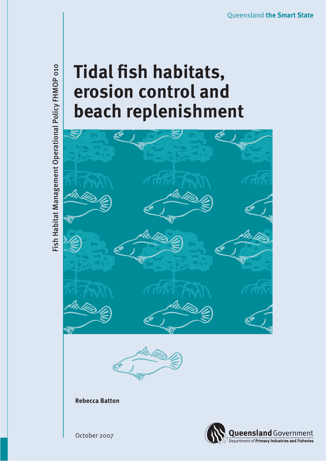# **Tidal fish habitats, erosion control and beach replenishment**



October 2007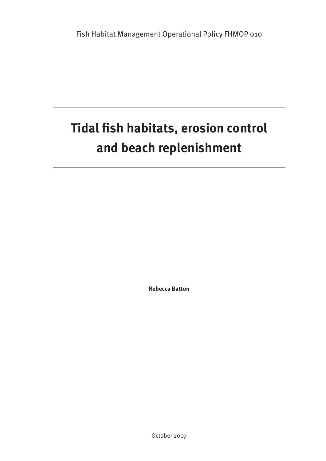# **Tidal fish habitats, erosion control and beach replenishment**

**Rebecca Batton**

October 2007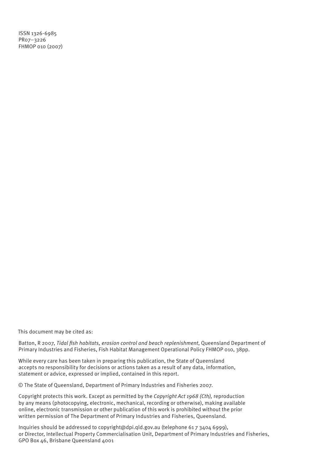ISSN 1326-6985 PR07–3226 FHMOP 010 (2007)

This document may be cited as:

Batton, R 2007, *Tidal fish habitats, erosion control and beach replenishment*, Queensland Department of Primary Industries and Fisheries, Fish Habitat Management Operational Policy FHMOP 010, 38pp.

While every care has been taken in preparing this publication, the State of Queensland accepts no responsibility for decisions or actions taken as a result of any data, information, statement or advice, expressed or implied, contained in this report.

© The State of Queensland, Department of Primary Industries and Fisheries 2007.

Copyright protects this work. Except as permitted by the *Copyright Act 1968 (Cth),* reproduction by any means (photocopying, electronic, mechanical, recording or otherwise), making available online, electronic transmission or other publication of this work is prohibited without the prior written permission of The Department of Primary Industries and Fisheries, Queensland.

Inquiries should be addressed to copyright@dpi.qld.gov.au (telephone 61 7 3404 6999), or Director, Intellectual Property Commercialisation Unit, Department of Primary Industries and Fisheries, GPO Box 46, Brisbane Queensland 4001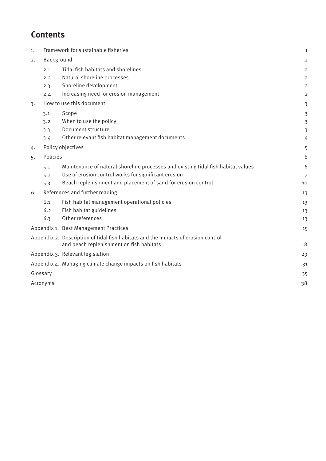# **Contents**

| 1.                                                           | Framework for sustainable fisheries |                                                                                                                               | $\mathbf 1$    |
|--------------------------------------------------------------|-------------------------------------|-------------------------------------------------------------------------------------------------------------------------------|----------------|
| 2.                                                           | Background                          |                                                                                                                               | 2              |
|                                                              | 2.1                                 | Tidal fish habitats and shorelines                                                                                            | 2              |
|                                                              | 2.2                                 | Natural shoreline processes                                                                                                   | $\overline{2}$ |
|                                                              | 2.3                                 | Shoreline development                                                                                                         | 2              |
|                                                              | 2.4                                 | Increasing need for erosion management                                                                                        | 2              |
| 3.                                                           | How to use this document            |                                                                                                                               | $\overline{3}$ |
|                                                              | 3.1                                 | Scope                                                                                                                         | 3              |
|                                                              | 3.2                                 | When to use the policy                                                                                                        | 3              |
|                                                              | 3.3                                 | Document structure                                                                                                            | $\overline{3}$ |
|                                                              | 3.4                                 | Other relevant fish habitat management documents                                                                              | 4              |
| 4.                                                           |                                     | Policy objectives                                                                                                             | 5              |
| 5.                                                           | Policies                            |                                                                                                                               | 6              |
|                                                              | 5.1                                 | Maintenance of natural shoreline processes and existing tidal fish habitat values                                             | 6              |
|                                                              | 5.2                                 | Use of erosion control works for significant erosion                                                                          | $\overline{7}$ |
|                                                              | 5.3                                 | Beach replenishment and placement of sand for erosion control                                                                 | 10             |
| 6.                                                           | References and further reading      |                                                                                                                               | 13             |
|                                                              | 6.1                                 | Fish habitat management operational policies                                                                                  | 13             |
|                                                              | 6.2                                 | Fish habitat guidelines                                                                                                       | 13             |
|                                                              | 6.3                                 | Other references                                                                                                              | 13             |
|                                                              |                                     | Appendix 1. Best Management Practices                                                                                         | 15             |
|                                                              |                                     | Appendix 2. Description of tidal fish habitats and the impacts of erosion control<br>and beach replenishment on fish habitats | 18             |
|                                                              |                                     | Appendix 3. Relevant legislation                                                                                              | 29             |
| Appendix 4. Managing climate change impacts on fish habitats |                                     |                                                                                                                               | 31             |
| Glossary                                                     |                                     |                                                                                                                               | 35             |
| Acronyms                                                     |                                     |                                                                                                                               | 38             |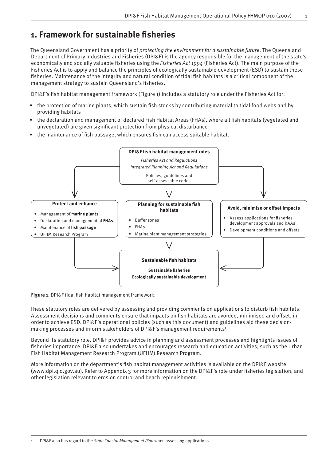# **1. Framework for sustainable fi sheries**

The Queensland Government has a priority of *protecting the environment for a sustainable future*. The Queensland Department of Primary Industries and Fisheries (DPI&F) is the agency responsible for the management of the state's economically and socially valuable fisheries using the *Fisheries Act 1994* (Fisheries Act). The main purpose of the Fisheries Act is to apply and balance the principles of ecologically sustainable development (ESD) to sustain these fisheries. Maintenance of the integrity and natural condition of tidal fish habitats is a critical component of the management strategy to sustain Queensland's fisheries.

DPI&F's fish habitat management framework (Figure 1) includes a statutory role under the Fisheries Act for:

- the protection of marine plants, which sustain fish stocks by contributing material to tidal food webs and by providing habitats
- the declaration and management of declared Fish Habitat Areas (FHAs), where all fish habitats (vegetated and unvegetated) are given significant protection from physical disturbance
- the maintenance of fish passage, which ensures fish can access suitable habitat.



**Figure 1.** DPI&F tidal fish habitat management framework.

These statutory roles are delivered by assessing and providing comments on applications to disturb fish habitats. Assessment decisions and comments ensure that impacts on fish habitats are avoided, minimised and offset, in order to achieve ESD. DPI&F's operational policies (such as this document) and guidelines aid these decisionmaking processes and inform stakeholders of DPI&F's management requirements<sup>1</sup>.

Beyond its statutory role, DPI&F provides advice in planning and assessment processes and highlights issues of fisheries importance. DPI&F also undertakes and encourages research and education activities, such as the Urban Fish Habitat Management Research Program (UFHM) Research Program.

More information on the department's fish habitat management activities is available on the DPI&F website (www.dpi.qld.gov.au). Refer to Appendix 3 for more information on the DPI&F's role under fisheries legislation, and other legislation relevant to erosion control and beach replenishment.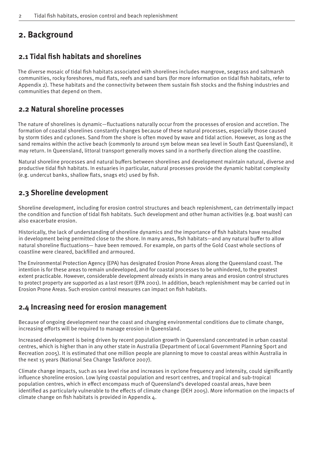# **2. Background**

# **2.1 Tidal fish habitats and shorelines**

The diverse mosaic of tidal fish habitats associated with shorelines includes mangrove, seagrass and saltmarsh communities, rocky foreshores, mud flats, reefs and sand bars (for more information on tidal fish habitats, refer to Appendix 2). These habitats and the connectivity between them sustain fish stocks and the fishing industries and communities that depend on them.

### **2.2 Natural shoreline processes**

The nature of shorelines is dynamic—fluctuations naturally occur from the processes of erosion and accretion. The formation of coastal shorelines constantly changes because of these natural processes, especially those caused by storm tides and cyclones. Sand from the shore is often moved by wave and tidal action. However, as long as the sand remains within the active beach (commonly to around 15m below mean sea level in South East Queensland), it may return. In Queensland, littoral transport generally moves sand in a northerly direction along the coastline.

Natural shoreline processes and natural buffers between shorelines and development maintain natural, diverse and productive tidal fish habitats. In estuaries in particular, natural processes provide the dynamic habitat complexity (e.g. undercut banks, shallow flats, snags etc) used by fish.

### **2.3 Shoreline development**

Shoreline development, including for erosion control structures and beach replenishment, can detrimentally impact the condition and function of tidal fish habitats. Such development and other human activities (e.g. boat wash) can also exacerbate erosion.

Historically, the lack of understanding of shoreline dynamics and the importance of fish habitats have resulted in development being permitted close to the shore. In many areas, fish habitats—and any natural buffer to allow natural shoreline fluctuations— have been removed. For example, on parts of the Gold Coast whole sections of coastline were cleared, backfilled and armoured.

The Environmental Protection Agency (EPA) has designated Erosion Prone Areas along the Queensland coast. The intention is for these areas to remain undeveloped, and for coastal processes to be unhindered, to the greatest extent practicable. However, considerable development already exists in many areas and erosion control structures to protect property are supported as a last resort (EPA 2001). In addition, beach replenishment may be carried out in Erosion Prone Areas. Such erosion control measures can impact on fish habitats.

# **2.4 Increasing need for erosion management**

Because of ongoing development near the coast and changing environmental conditions due to climate change, increasing efforts will be required to manage erosion in Queensland.

Increased development is being driven by recent population growth in Queensland concentrated in urban coastal centres, which is higher than in any other state in Australia (Department of Local Government Planning Sport and Recreation 2005). It is estimated that one million people are planning to move to coastal areas within Australia in the next 15 years (National Sea Change Taskforce 2007).

Climate change impacts, such as sea level rise and increases in cyclone frequency and intensity, could significantly influence shoreline erosion. Low lying coastal population and resort centres, and tropical and sub-tropical population centres, which in effect encompass much of Queensland's developed coastal areas, have been identified as particularly vulnerable to the effects of climate change (DEH 2005). More information on the impacts of climate change on fish habitats is provided in Appendix 4.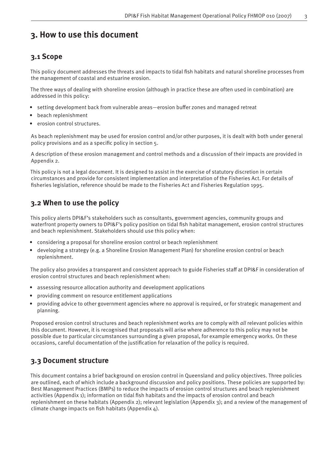# **3. How to use this document**

# **3.1 Scope**

This policy document addresses the threats and impacts to tidal fish habitats and natural shoreline processes from the management of coastal and estuarine erosion.

The three ways of dealing with shoreline erosion (although in practice these are often used in combination) are addressed in this policy:

- setting development back from vulnerable areas—erosion buffer zones and managed retreat
- beach replenishment
- erosion control structures.

As beach replenishment may be used for erosion control and/or other purposes, it is dealt with both under general policy provisions and as a specific policy in section 5.

A description of these erosion management and control methods and a discussion of their impacts are provided in Appendix 2.

This policy is not a legal document. It is designed to assist in the exercise of statutory discretion in certain circumstances and provide for consistent implementation and interpretation of the Fisheries Act. For details of fisheries legislation, reference should be made to the Fisheries Act and Fisheries Regulation 1995.

# **3.2 When to use the policy**

This policy alerts DPI&F's stakeholders such as consultants, government agencies, community groups and waterfront property owners to DPI&F's policy position on tidal fish habitat management, erosion control structures and beach replenishment. Stakeholders should use this policy when:

- considering a proposal for shoreline erosion control or beach replenishment
- developing a strategy (e.g. a Shoreline Erosion Management Plan) for shoreline erosion control or beach replenishment.

The policy also provides a transparent and consistent approach to guide Fisheries staff at DPI&F in consideration of erosion control structures and beach replenishment when:

- assessing resource allocation authority and development applications
- providing comment on resource entitlement applications
- providing advice to other government agencies where no approval is required, or for strategic management and planning.

Proposed erosion control structures and beach replenishment works are to comply with *all* relevant policies within this document. However, it is recognised that proposals will arise where adherence to this policy may not be possible due to particular circumstances surrounding a given proposal, for example emergency works. On these occasions, careful documentation of the justification for relaxation of the policy is required.

# **3.3 Document structure**

This document contains a brief background on erosion control in Queensland and policy objectives. Three policies are outlined, each of which include a background discussion and policy positions. These policies are supported by: Best Management Practices (BMPs) to reduce the impacts of erosion control structures and beach replenishment activities (Appendix 1); information on tidal fish habitats and the impacts of erosion control and beach replenishment on these habitats (Appendix 2); relevant legislation (Appendix 3); and a review of the management of climate change impacts on fish habitats (Appendix  $4$ ).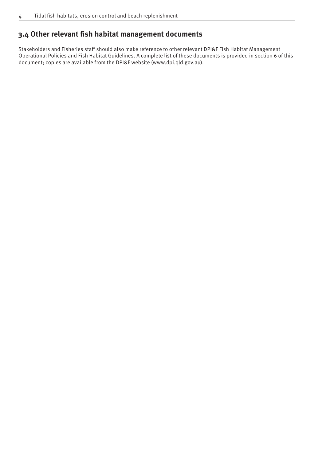# **3.4 Other relevant fish habitat management documents**

Stakeholders and Fisheries staff should also make reference to other relevant DPI&F Fish Habitat Management Operational Policies and Fish Habitat Guidelines. A complete list of these documents is provided in section 6 of this document; copies are available from the DPI&F website (www.dpi.qld.gov.au).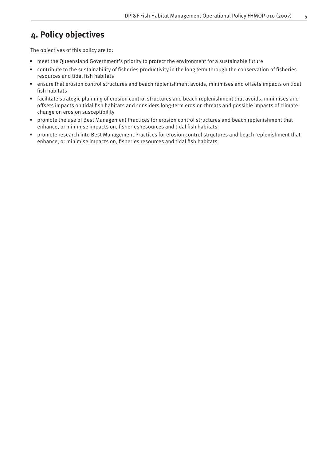# **4. Policy objectives**

The objectives of this policy are to:

- meet the Queensland Government's priority to protect the environment for a sustainable future
- contribute to the sustainability of fisheries productivity in the long term through the conservation of fisheries resources and tidal fish habitats
- ensure that erosion control structures and beach replenishment avoids, minimises and offsets impacts on tidal fish habitats
- facilitate strategic planning of erosion control structures and beach replenishment that avoids, minimises and offsets impacts on tidal fish habitats and considers long-term erosion threats and possible impacts of climate change on erosion susceptibility
- promote the use of Best Management Practices for erosion control structures and beach replenishment that enhance, or minimise impacts on, fisheries resources and tidal fish habitats
- promote research into Best Management Practices for erosion control structures and beach replenishment that enhance, or minimise impacts on, fisheries resources and tidal fish habitats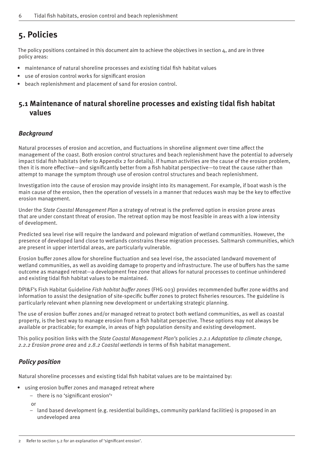# **5. Policies**

The policy positions contained in this document aim to achieve the objectives in section  $4$ , and are in three policy areas:

- maintenance of natural shoreline processes and existing tidal fish habitat values
- use of erosion control works for significant erosion
- beach replenishment and placement of sand for erosion control.

# **5.1 Maintenance of natural shoreline processes and existing tidal fi sh habitat values**

### *Background*

Natural processes of erosion and accretion, and fluctuations in shoreline alignment over time affect the management of the coast. Both erosion control structures and beach replenishment have the potential to adversely impact tidal fish habitats (refer to Appendix 2 for details). If human activities are the cause of the erosion problem, then it is more effective—and significantly better from a fish habitat perspective—to treat the cause rather than attempt to manage the symptom through use of erosion control structures and beach replenishment.

Investigation into the cause of erosion may provide insight into its management. For example, if boat wash is the main cause of the erosion, then the operation of vessels in a manner that reduces wash may be the key to effective erosion management.

Under the *State Coastal Management Plan* a strategy of retreat is the preferred option in erosion prone areas that are under constant threat of erosion. The retreat option may be most feasible in areas with a low intensity of development.

Predicted sea level rise will require the landward and poleward migration of wetland communities. However, the presence of developed land close to wetlands constrains these migration processes. Saltmarsh communities, which are present in upper intertidal areas, are particularly vulnerable.

Erosion buffer zones allow for shoreline fluctuation and sea level rise, the associated landward movement of wetland communities, as well as avoiding damage to property and infrastructure. The use of buffers has the same outcome as managed retreat—a development free zone that allows for natural processes to continue unhindered and existing tidal fish habitat values to be maintained.

DPI&F's Fish Habitat Guideline *Fish habitat buffer zones* (FHG 003) provides recommended buffer zone widths and information to assist the designation of site-specific buffer zones to protect fisheries resources. The guideline is particularly relevant when planning new development or undertaking strategic planning.

The use of erosion buffer zones and/or managed retreat to protect both wetland communities, as well as coastal property, is the best way to manage erosion from a fish habitat perspective. These options may not always be available or practicable; for example, in areas of high population density and existing development.

This policy position links with the *State Coastal Management Plan's* policies *2.2.1 Adaptation to climate change,*  2.2.2 Erosion prone area and 2.8.2 Coastal wetlands in terms of fish habitat management.

### *Policy position*

Natural shoreline processes and existing tidal fish habitat values are to be maintained by:

- using erosion buffer zones and managed retreat where
	- there is no 'significant erosion'<sup>2</sup>

or

– land based development (e.g. residential buildings, community parkland facilities) is proposed in an undeveloped area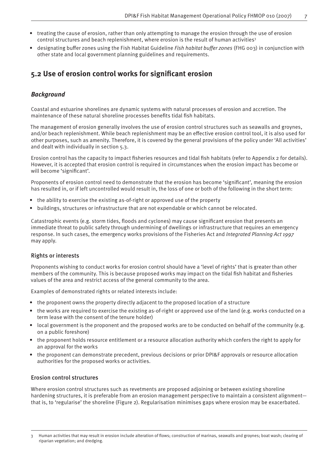- treating the cause of erosion, rather than only attempting to manage the erosion through the use of erosion control structures and beach replenishment, where erosion is the result of human activities<sup>3</sup>
- designating buffer zones using the Fish Habitat Guideline *Fish habitat buffer zones* (FHG 003) in conjunction with other state and local government planning guidelines and requirements.

# **5.2 Use of erosion control works for signifi cant erosion**

### *Background*

Coastal and estuarine shorelines are dynamic systems with natural processes of erosion and accretion. The maintenance of these natural shoreline processes benefits tidal fish habitats.

The management of erosion generally involves the use of erosion control structures such as seawalls and groynes, and/or beach replenishment. While beach replenishment may be an effective erosion control tool, it is also used for other purposes, such as amenity. Therefore, it is covered by the general provisions of the policy under 'All activities' and dealt with individually in section 5.3.

Erosion control has the capacity to impact fisheries resources and tidal fish habitats (refer to Appendix 2 for details). However, it is accepted that erosion control is required in circumstances when the erosion impact has become or will become 'significant'.

Proponents of erosion control need to demonstrate that the erosion has become 'significant', meaning the erosion has resulted in, or if left uncontrolled would result in, the loss of one or both of the following in the short term:

- the ability to exercise the existing as-of-right or approved use of the property
- buildings, structures or infrastructure that are not expendable or which cannot be relocated.

Catastrophic events (e.g. storm tides, floods and cyclones) may cause significant erosion that presents an immediate threat to public safety through undermining of dwellings or infrastructure that requires an emergency response. In such cases, the emergency works provisions of the Fisheries Act and *Integrated Planning Act 1997* may apply.

### Rights or interests

Proponents wishing to conduct works for erosion control should have a 'level of rights' that is greater than other members of the community. This is because proposed works may impact on the tidal fish habitat and fisheries values of the area and restrict access of the general community to the area.

Examples of demonstrated rights or related interests include:

- the proponent owns the property directly adjacent to the proposed location of a structure
- the works are required to exercise the existing as-of-right or approved use of the land (e.g. works conducted on a term lease with the consent of the tenure holder)
- local government is the proponent and the proposed works are to be conducted on behalf of the community (e.g. on a public foreshore)
- the proponent holds resource entitlement or a resource allocation authority which confers the right to apply for an approval for the works
- the proponent can demonstrate precedent, previous decisions or prior DPI&F approvals or resource allocation authorities for the proposed works or activities.

### Erosion control structures

Where erosion control structures such as revetments are proposed adjoining or between existing shoreline hardening structures, it is preferable from an erosion management perspective to maintain a consistent alignment that is, to 'regularise' the shoreline (Figure 2). Regularisation minimises gaps where erosion may be exacerbated.

Human activities that may result in erosion include alteration of flows; construction of marinas, seawalls and groynes; boat wash; clearing of riparian vegetation; and dredging.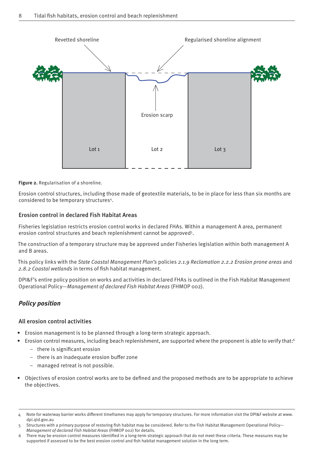

**Figure 2.** Regularisation of a shoreline.

Erosion control structures, including those made of geotextile materials, to be in place for less than six months are considered to be temporary structures4.

### Erosion control in declared Fish Habitat Areas

Fisheries legislation restricts erosion control works in declared FHAs. Within a management A area, permanent erosion control structures and beach replenishment cannot be approved<sup>5</sup>.

The construction of a temporary structure may be approved under Fisheries legislation within both management A and B areas.

This policy links with the *State Coastal Management Plan's* policies *2.1.9 Reclamation 2.2.2 Erosion prone areas* and 2.8.2 Coastal wetlands in terms of fish habitat management.

DPI&F's entire policy position on works and activities in declared FHAs is outlined in the Fish Habitat Management Operational Policy—*Management of declared Fish Habitat Areas* (FHMOP 002).

### *Policy position*

### All erosion control activities

- Erosion management is to be planned through a long-term strategic approach.
- Erosion control measures, including beach replenishment, are supported where the proponent is able to verify that:<sup>6</sup>
	- $-$  there is significant erosion
	- $-$  there is an inadequate erosion buffer zone
	- managed retreat is not possible.
- Objectives of erosion control works are to be defined and the proposed methods are to be appropriate to achieve the objectives.

Note for waterway barrier works different timeframes may apply for temporary structures. For more information visit the DPI&F website at www. dpi.qld.gov.au

Structures with a primary purpose of restoring fish habitat may be considered. Refer to the Fish Habitat Management Operational Policy-*Management of declared Fish Habitat Areas* (FHMOP 002) for details.

<sup>6</sup> There may be erosion control measures identified in a long-term strategic approach that do not meet these criteria. These measures may be supported if assessed to be the best erosion control and fish habitat management solution in the long term.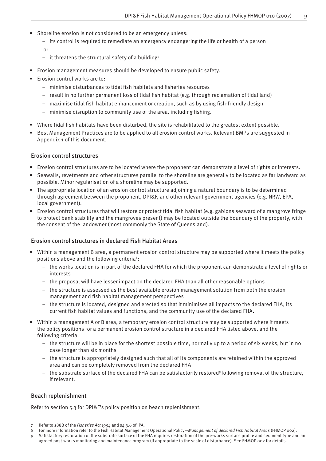- Shoreline erosion is not considered to be an emergency unless:
	- $-$  its control is required to remediate an emergency endangering the life or health of a person
	- or
	- it threatens the structural safety of a building7 .
- Erosion management measures should be developed to ensure public safety.
- Erosion control works are to:
	- minimise disturbances to tidal fish habitats and fisheries resources
	- $-$  result in no further permanent loss of tidal fish habitat (e.g. through reclamation of tidal land)
	- maximise tidal fish habitat enhancement or creation, such as by using fish-friendly design
	- $-$  minimise disruption to community use of the area, including fishing.
- Where tidal fish habitats have been disturbed, the site is rehabilitated to the greatest extent possible.
- Best Management Practices are to be applied to all erosion control works. Relevant BMPs are suggested in Appendix 1 of this document.

### Erosion control structures

- Erosion control structures are to be located where the proponent can demonstrate a level of rights or interests.
- Seawalls, revetments and other structures parallel to the shoreline are generally to be located as far landward as possible. Minor regularisation of a shoreline may be supported.
- The appropriate location of an erosion control structure adjoining a natural boundary is to be determined through agreement between the proponent, DPI&F, and other relevant government agencies (e.g. NRW, EPA, local government).
- Erosion control structures that will restore or protect tidal fish habitat (e.g. gabions seaward of a mangrove fringe to protect bank stability and the mangroves present) may be located outside the boundary of the property, with the consent of the landowner (most commonly the State of Queensland).

### Erosion control structures in declared Fish Habitat Areas

- Within a management B area, a permanent erosion control structure may be supported where it meets the policy positions above and the following criteria<sup>8</sup>:
	- the works location is in part of the declared FHA for which the proponent can demonstrate a level of rights or interests
	- the proposal will have lesser impact on the declared FHA than all other reasonable options
	- the structure is assessed as the best available erosion management solution from both the erosion management and fish habitat management perspectives
	- the structure is located, designed and erected so that it minimises all impacts to the declared FHA, its current fish habitat values and functions, and the community use of the declared FHA.
- Within a management A or B area, a temporary erosion control structure may be supported where it meets the policy positions for a permanent erosion control structure in a declared FHA listed above, and the following criteria:
	- the structure will be in place for the shortest possible time, normally up to a period of six weeks, but in no case longer than six months
	- the structure is appropriately designed such that all of its components are retained within the approved area and can be completely removed from the declared FHA
	- $-$  the substrate surface of the declared FHA can be satisfactorily restored<sup>9</sup> following removal of the structure, if relevant.

### Beach replenishment

Refer to section 5.3 for DPI&F's policy position on beach replenishment.

Refer to s88B of the *Fisheries Act 1994* and s4.3.6 of IPA.

<sup>8</sup> For more information refer to the Fish Habitat Management Operational Policy—*Management of declared Fish Habitat Areas* (FHMOP 002).

Satisfactory restoration of the substrate surface of the FHA requires restoration of the pre-works surface profile and sediment type and an agreed post-works monitoring and maintenance program (if appropriate to the scale of disturbance). See FHMOP 002 for details.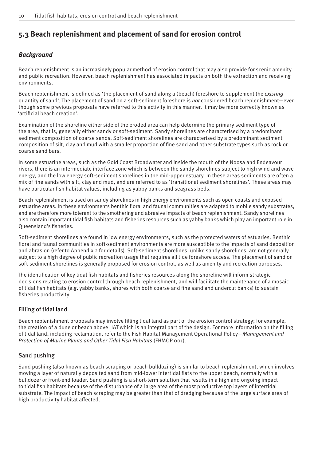# **5.3 Beach replenishment and placement of sand for erosion control**

### *Background*

Beach replenishment is an increasingly popular method of erosion control that may also provide for scenic amenity and public recreation. However, beach replenishment has associated impacts on both the extraction and receiving environments.

Beach replenishment is defined as 'the placement of sand along a (beach) foreshore to supplement the *existing* quantity of sand'. The placement of sand on a soft-sediment foreshore is *not* considered beach replenishment—even though some previous proposals have referred to this activity in this manner, it may be more correctly known as 'artificial beach creation'.

Examination of the shoreline either side of the eroded area can help determine the primary sediment type of the area, that is, generally either sandy or soft-sediment. Sandy shorelines are characterised by a predominant sediment composition of coarse sands. Soft-sediment shorelines are characterised by a predominant sediment composition of silt, clay and mud with a smaller proportion of fine sand and other substrate types such as rock or coarse sand bars.

In some estuarine areas, such as the Gold Coast Broadwater and inside the mouth of the Noosa and Endeavour rivers, there is an intermediate interface zone which is between the sandy shorelines subject to high wind and wave energy, and the low energy soft-sediment shorelines in the mid-upper estuary. In these areas sediments are often a mix of fine sands with silt, clay and mud, and are referred to as 'transitional sediment shorelines'. These areas may have particular fish habitat values, including as yabby banks and seagrass beds.

Beach replenishment is used on sandy shorelines in high energy environments such as open coasts and exposed estuarine areas. In these environments benthic floral and faunal communities are adapted to mobile sandy substrates, and are therefore more tolerant to the smothering and abrasive impacts of beach replenishment. Sandy shorelines also contain important tidal fish habitats and fisheries resources such as yabby banks which play an important role in Oueensland's fisheries.

Soft-sediment shorelines are found in low energy environments, such as the protected waters of estuaries. Benthic floral and faunal communities in soft-sediment environments are more susceptible to the impacts of sand deposition and abrasion (refer to Appendix 2 for details). Soft-sediment shorelines, unlike sandy shorelines, are not generally subject to a high degree of public recreation usage that requires all tide foreshore access. The placement of sand on soft-sediment shorelines is generally proposed for erosion control, as well as amenity and recreation purposes.

The identification of key tidal fish habitats and fisheries resources along the shoreline will inform strategic decisions relating to erosion control through beach replenishment, and will facilitate the maintenance of a mosaic of tidal fish habitats (e.g. yabby banks, shores with both coarse and fine sand and undercut banks) to sustain fisheries productivity.

### Filling of tidal land

Beach replenishment proposals may involve filling tidal land as part of the erosion control strategy; for example, the creation of a dune or beach above HAT which is an integral part of the design. For more information on the filling of tidal land, including reclamation, refer to the Fish Habitat Management Operational Policy—*Management and Protection of Marine Plants and Other Tidal Fish Habitats* (FHMOP 001).

### Sand pushing

Sand pushing (also known as beach scraping or beach bulldozing) is similar to beach replenishment, which involves moving a layer of naturally deposited sand from mid-lower intertidal flats to the upper beach, normally with a bulldozer or front-end loader. Sand pushing is a short-term solution that results in a high and ongoing impact to tidal fish habitats because of the disturbance of a large area of the most productive top layers of intertidal substrate. The impact of beach scraping may be greater than that of dredging because of the large surface area of high productivity habitat affected.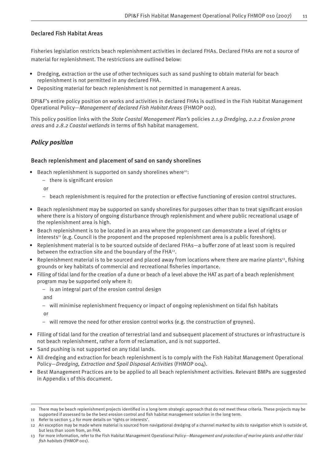### Declared Fish Habitat Areas

Fisheries legislation restricts beach replenishment activities in declared FHAs. Declared FHAs are not a source of material for replenishment. The restrictions are outlined below:

- Dredging, extraction or the use of other techniques such as sand pushing to obtain material for beach replenishment is not permitted in any declared FHA.
- Depositing material for beach replenishment is not permitted in management A areas.

DPI&F's entire policy position on works and activities in declared FHAs is outlined in the Fish Habitat Management Operational Policy—*Management of declared Fish Habitat Areas* (FHMOP 002).

This policy position links with the *State Coastal Management Plan's* policies *2.1.9 Dredging, 2.2.2 Erosion prone areas* and 2.8.2 Coastal wetlands in terms of fish habitat management.

### *Policy position*

### Beach replenishment and placement of sand on sandy shorelines

- Beach replenishment is supported on sandy shorelines where<sup>10</sup>:
	- $-$  there is significant erosion

or

- beach replenishment is required for the protection or effective functioning of erosion control structures.
- Beach replenishment may be supported on sandy shorelines for purposes other than to treat significant erosion where there is a history of ongoing disturbance through replenishment and where public recreational usage of the replenishment area is high.
- Beach replenishment is to be located in an area where the proponent can demonstrate a level of rights or  $interests<sup>11</sup>$  (e.g. Council is the proponent and the proposed replenishment area is a public foreshore).
- Replenishment material is to be sourced outside of declared FHAs-a buffer zone of at least 100m is required between the extraction site and the boundary of the FHA<sup>12</sup>.
- Replenishment material is to be sourced and placed away from locations where there are marine plants<sup>13</sup>, fishing grounds or key habitats of commercial and recreational fisheries importance.
- Filling of tidal land for the creation of a dune or beach of a level above the HAT as part of a beach replenishment program may be supported only where it:
	- is an integral part of the erosion control design

and

 $-$  will minimise replenishment frequency or impact of ongoing replenishment on tidal fish habitats

or

- will remove the need for other erosion control works (e.g. the construction of groynes).
- Filling of tidal land for the creation of terrestrial land and subsequent placement of structures or infrastructure is not beach replenishment, rather a form of reclamation, and is not supported.
- Sand pushing is not supported on any tidal lands.
- All dredging and extraction for beach replenishment is to comply with the Fish Habitat Management Operational Policy—*Dredging, Extraction and Spoil Disposal Activities* (FHMOP 004).
- Best Management Practices are to be applied to all beach replenishment activities. Relevant BMPs are suggested in Appendix 1 of this document.

<sup>10</sup> There may be beach replenishment projects identified in a long-term strategic approach that do not meet these criteria. These projects may be supported if assessed to be the best erosion control and fish habitat management solution in the long term.

<sup>11</sup> Refer to section 5.2 for more details on 'rights or interests'.

<sup>12</sup> An exception may be made where material is sourced from navigational dredging of a channel marked by aids to navigation which is outside of, but less than 100m from, an FHA.

<sup>13</sup> For more information, refer to the Fish Habitat Management Operational Policy—*Management and protection of marine plants and other tidal fi sh habitats* (FHMOP 001).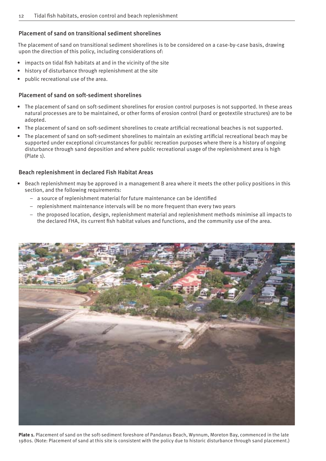### Placement of sand on transitional sediment shorelines

The placement of sand on transitional sediment shorelines is to be considered on a case-by-case basis, drawing upon the direction of this policy, including considerations of:

- impacts on tidal fish habitats at and in the vicinity of the site
- history of disturbance through replenishment at the site
- public recreational use of the area.

### Placement of sand on soft-sediment shorelines

- The placement of sand on soft-sediment shorelines for erosion control purposes is not supported. In these areas natural processes are to be maintained, or other forms of erosion control (hard or geotextile structures) are to be adopted.
- The placement of sand on soft-sediment shorelines to create artificial recreational beaches is not supported.
- The placement of sand on soft-sediment shorelines to maintain an existing artificial recreational beach may be supported under exceptional circumstances for public recreation purposes where there is a history of ongoing disturbance through sand deposition and where public recreational usage of the replenishment area is high (Plate 1).

### Beach replenishment in declared Fish Habitat Areas

- Beach replenishment may be approved in a management B area where it meets the other policy positions in this section, and the following requirements:
	- a source of replenishment material for future maintenance can be identified
	- replenishment maintenance intervals will be no more frequent than every two years
	- the proposed location, design, replenishment material and replenishment methods minimise all impacts to the declared FHA, its current fish habitat values and functions, and the community use of the area.



**Plate 1.** Placement of sand on the soft-sediment foreshore of Pandanus Beach, Wynnum, Moreton Bay, commenced in the late 1980s. (Note: Placement of sand at this site is consistent with the policy due to historic disturbance through sand placement.)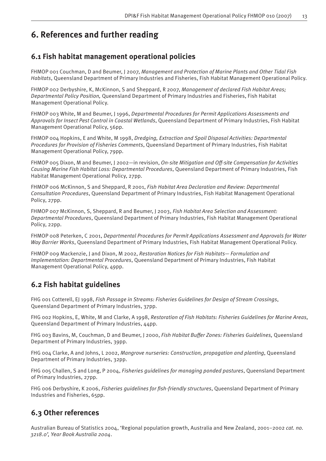# **6. References and further reading**

# **6.1 Fish habitat management operational policies**

FHMOP 001 Couchman, D and Beumer, J 2007, *Management and Protection of Marine Plants and Other Tidal Fish Habitats*, Queensland Department of Primary Industries and Fisheries, Fish Habitat Management Operational Policy.

FHMOP 002 Derbyshire, K, McKinnon, S and Sheppard, R 2007, *Management of declared Fish Habitat Areas; Departmental Policy Position,* Queensland Department of Primary Industries and Fisheries, Fish Habitat Management Operational Policy.

FHMOP 003 White, M and Beumer, J 1996, *Departmental Procedures for Permit Applications Assessments and Approvals for Insect Pest Control in Coastal Wetlands*, Queensland Department of Primary Industries, Fish Habitat Management Operational Policy, 56pp.

FHMOP 004 Hopkins, E and White, M 1998, *Dredging, Extraction and Spoil Disposal Activities: Departmental Procedures for Provision of Fisheries Comments*, Queensland Department of Primary Industries, Fish Habitat Management Operational Policy, 79pp.

FHMOP 005 Dixon, M and Beumer, J 2002—in revision, *On-site Mitigation and Off -site Compensation for Activities Causing Marine Fish Habitat Loss: Departmental Procedures*, Queensland Department of Primary Industries, Fish Habitat Management Operational Policy, 27pp.

FHMOP 006 McKinnon, S and Sheppard, R 2001, *Fish Habitat Area Declaration and Review: Departmental Consultation Procedures*, Queensland Department of Primary Industries, Fish Habitat Management Operational Policy, 27pp.

FHMOP 007 McKinnon, S, Sheppard, R and Beumer, J 2003, *Fish Habitat Area Selection and Assessment: Departmental Procedures*, Queensland Department of Primary Industries, Fish Habitat Management Operational Policy, 22pp.

FHMOP 008 Peterken, C 2001, *Departmental Procedures for Permit Applications Assessment and Approvals for Water Way Barrier Works*, Queensland Department of Primary Industries, Fish Habitat Management Operational Policy.

FHMOP 009 Mackenzie, J and Dixon, M 2002, *Restoration Notices for Fish Habitats— Formulation and Implementation: Departmental Procedures*, Queensland Department of Primary Industries, Fish Habitat Management Operational Policy, 49pp.

# **6.2 Fish habitat guidelines**

FHG 001 Cotterell, EJ 1998, *Fish Passage in Streams: Fisheries Guidelines for Design of Stream Crossings*, Queensland Department of Primary Industries, 37pp.

FHG 002 Hopkins, E, White, M and Clarke, A 1998, *Restoration of Fish Habitats: Fisheries Guidelines for Marine Areas,* Queensland Department of Primary Industries, 44pp.

FHG 003 Bavins, M, Couchman, D and Beumer, J 2000, *Fish Habitat Buffer Zones: Fisheries Guidelines*, Queensland Department of Primary Industries, 39pp.

FHG 004 Clarke, A and Johns, L 2002, *Mangrove nurseries: Construction, propagation and planting*, Queensland Department of Primary Industries, 32pp.

FHG 005 Challen, S and Long, P 2004, *Fisheries guidelines for managing ponded pastures*, Queensland Department of Primary Industries, 27pp.

FHG 006 Derbyshire, K 2006, *Fisheries quidelines for fish-friendly structures*, Queensland Department of Primary Industries and Fisheries, 65pp.

# **6.3 Other references**

Australian Bureau of Statistics 2004, 'Regional population growth, Australia and New Zealand, 2001–2002 *cat. no. 3218.0', Year Book Australia 2004*.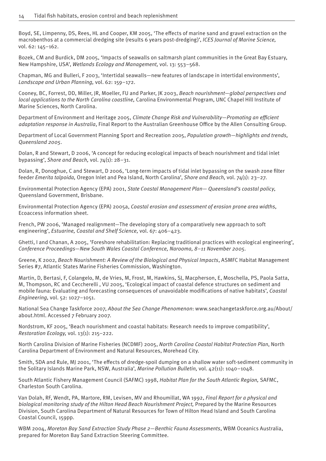Boyd, SE, Limpenny, DS, Rees, HL and Cooper, KM 2005, 'The effects of marine sand and gravel extraction on the macrobenthos at a commercial dredging site (results 6 years post-dredging)', *ICES Journal of Marine Science,*  vol. 62: 145–162.

Bozek, CM and Burdick, DM 2005, 'Impacts of seawalls on saltmarsh plant communities in the Great Bay Estuary, New Hampshire, USA', *Wetlands Ecology and Management,* vol. 13: 553–568.

Chapman, MG and Bulleri, F 2003, 'Intertidal seawalls—new features of landscape in intertidal environments', *Landscape and Urban Planning,* vol. 62: 159–172.

Cooney, BC, Forrest, DD, Miller, JR, Moeller, FU and Parker, JK 2003, *Beach nourishment—global perspectives and local applications to the North Carolina coastline,* Carolina Environmental Program, UNC Chapel Hill Institute of Marine Sciences, North Carolina.

Department of Environment and Heritage 2005, *Climate Change Risk and Vulnerability—Promoting an efficient adaptation response in Australia*, Final Report to the Australian Greenhouse Office by the Allen Consulting Group.

Department of Local Government Planning Sport and Recreation 2005, *Population growth—highlights and trends, Queensland 2005*.

Dolan, R and Stewart, D 2006, 'A concept for reducing ecological impacts of beach nourishment and tidal inlet bypassing', *Shore and Beach,* vol. 74(1): 28–31.

Dolan, R, Donoghue, C and Stewart, D 2006, 'Long-term impacts of tidal inlet bypassing on the swash zone filter feeder *Emerita talpoida,* Oregon Inlet and Pea Island, North Carolina', *Shore and Beach,* vol. 74(1): 23–27.

Environmental Protection Agency (EPA) 2001, *State Coastal Management Plan— Queensland's coastal policy*, Queensland Government, Brisbane.

Environmental Protection Agency (EPA) 2005a, *Coastal erosion and assessment of erosion prone area widths,*  Ecoaccess information sheet.

French, PW 2006, 'Managed realignment—The developing story of a comparatively new approach to soft engineering', *Estuarine, Coastal and Shelf Science,* vol. 67: 406–423.

Ghetti, I and Chanan, A 2005, 'Foreshore rehabilitation: Replacing traditional practices with ecological engineering', *Conference Proceedings*—*New South Wales Coastal Conference, Narooma, 8–11 November 2005.*

Greene, K 2002, *Beach Nourishment: A Review of the Biological and Physical Impacts*, ASMFC Habitat Management Series #7, Atlantic States Marine Fisheries Commission, Washington.

Martin, D, Bertasi, F, Colangelo, M, de Vries, M, Frost, M, Hawkins, SJ, Macpherson, E, Moschella, PS, Paola Satta, M, Thompson, RC and Ceccherelli , VU 2005, 'Ecological impact of coastal defence structures on sediment and mobile fauna: Evaluating and forecasting consequences of unavoidable modifications of native habitats', *Coastal Engineering,* vol. 52: 1027–1051.

National Sea Change Taskforce 2007, *About the Sea Change Phenomenon*: www.seachangetaskforce.org.au/About/ about.html. Accessed 7 February 2007.

Nordstrom, KF 2005, 'Beach nourishment and coastal habitats: Research needs to improve compatibility', *Restoration Ecology,* vol. 13(1): 215–222.

North Carolina Division of Marine Fisheries (NCDMF) 2005, *North Carolina Coastal Habitat Protection Plan*, North Carolina Department of Environment and Natural Resources, Morehead City.

Smith, SDA and Rule, MJ 2001, 'The effects of dredge-spoil dumping on a shallow water soft-sediment community in the Solitary Islands Marine Park, NSW, Australia', *Marine Pollution Bulletin,* vol. 42(11): 1040–1048.

South Atlantic Fishery Management Council (SAFMC) 1998, *Habitat Plan for the South Atlantic Region,* SAFMC, Charleston South Carolina.

Van Dolah, RF, Wendt, PA, Martore, RM, Levisen, MV and Rhoumillat, WA 1992, *Final Report for a physical and biological monitoring study of the Hilton Head Beach Nourishment Project,* Prepared by the Marine Resources Division, South Carolina Department of Natural Resources for Town of Hilton Head Island and South Carolina Coastal Council, 159pp.

WBM 2004, *Moreton Bay Sand Extraction Study Phase 2—Benthic Fauna Assessments*, WBM Oceanics Australia, prepared for Moreton Bay Sand Extraction Steering Committee.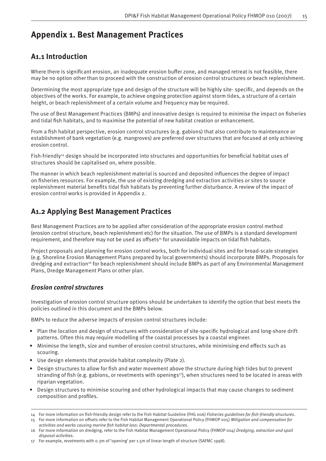# **Appendix 1. Best Management Practices**

# **A1.1 Introduction**

Where there is significant erosion, an inadequate erosion buffer zone, and managed retreat is not feasible, there may be no option other than to proceed with the construction of erosion control structures or beach replenishment.

Determining the most appropriate type and design of the structure will be highly site-specific, and depends on the objectives of the works. For example, to achieve ongoing protection against storm tides, a structure of a certain height, or beach replenishment of a certain volume and frequency may be required.

The use of Best Management Practices (BMPs) and innovative design is required to minimise the impact on fisheries and tidal fish habitats, and to maximise the potential of new habitat creation or enhancement.

From a fish habitat perspective, erosion control structures (e.g. gabions) that also contribute to maintenance or establishment of bank vegetation (e.g. mangroves) are preferred over structures that are focused at only achieving erosion control.

Fish-friendly<sup>14</sup> design should be incorporated into structures and opportunities for beneficial habitat uses of structures should be capitalised on, where possible.

The manner in which beach replenishment material is sourced and deposited influences the degree of impact on fisheries resources. For example, the use of existing dredging and extraction activities or sites to source replenishment material benefits tidal fish habitats by preventing further disturbance. A review of the impact of erosion control works is provided in Appendix 2.

# **A1.2 Applying Best Management Practices**

Best Management Practices are to be applied after consideration of the appropriate erosion control method (erosion control structure, beach replenishment etc) for the situation. The use of BMPs is a standard development requirement, and therefore may not be used as offsets<sup>15</sup> for unavoidable impacts on tidal fish habitats.

Project proposals and planning for erosion control works, both for individual sites and for broad-scale strategies (e.g. Shoreline Erosion Management Plans prepared by local governments) should incorporate BMPs. Proposals for dredging and extraction<sup>16</sup> for beach replenishment should include BMPs as part of any Environmental Management Plans, Dredge Management Plans or other plan.

### *Erosion control structures*

Investigation of erosion control structure options should be undertaken to identify the option that best meets the policies outlined in this document and the BMPs below.

BMPs to reduce the adverse impacts of erosion control structures include:

- Plan the location and design of structures with consideration of site-specific hydrological and long-shore drift patterns. Often this may require modelling of the coastal processes by a coastal engineer.
- Minimise the length, size and number of erosion control structures, while minimising end effects such as scouring.
- Use design elements that provide habitat complexity (Plate 2).
- Design structures to allow for fish and water movement above the structure during high tides but to prevent stranding of fish (e.g. gabions, or revetments with openings<sup>17</sup>), when structures need to be located in areas with riparian vegetation.
- Design structures to minimise scouring and other hydrological impacts that may cause changes to sediment composition and profiles.

15 For more information on off sets refer to the Fish Habitat Management Operational Policy (FHMOP 005) *Mitigation and compensation for activities and works causing marine fi sh habitat loss: Departmental procedures*.

<sup>14</sup> For more information on fish-friendly design refer to the Fish Habitat Guideline (FHG 006) Fisheries guidelines for fish-friendly structures.

<sup>16</sup> For more information on dredging, refer to the Fish Habitat Management Operational Policy (FHMOP 004) *Dredging, extraction and spoil disposal activities*.

<sup>17</sup> For example, revetments with 0.3m of 'opening' per 1.5m of linear length of structure (SAFMC 1998).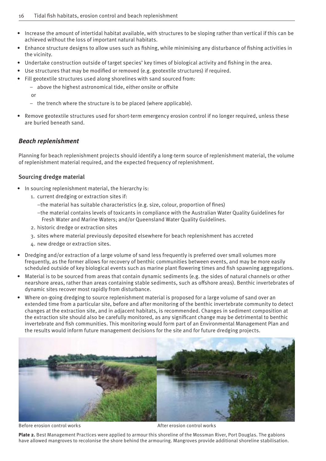- Increase the amount of intertidal habitat available, with structures to be sloping rather than vertical if this can be achieved without the loss of important natural habitats.
- Enhance structure designs to allow uses such as fishing, while minimising any disturbance of fishing activities in the vicinity.
- Undertake construction outside of target species' key times of biological activity and fishing in the area.
- Use structures that may be modified or removed (e.g. geotextile structures) if required.
- Fill geotextile structures used along shorelines with sand sourced from:
	- above the highest astronomical tide, either onsite or offsite

or

- the trench where the structure is to be placed (where applicable).
- Remove geotextile structures used for short-term emergency erosion control if no longer required, unless these are buried beneath sand.

### *Beach replenishment*

Planning for beach replenishment projects should identify a long-term source of replenishment material, the volume of replenishment material required, and the expected frequency of replenishment.

### Sourcing dredge material

- In sourcing replenishment material, the hierarchy is:
	- 1. current dredging or extraction sites if:
		- $-$ the material has suitable characteristics (e.g. size, colour, proportion of fines)
		- the material contains levels of toxicants in compliance with the Australian Water Quality Guidelines for Fresh Water and Marine Waters; and/or Queensland Water Quality Guidelines.
	- 2. historic dredge or extraction sites
	- 3. sites where material previously deposited elsewhere for beach replenishment has accreted
	- 4. new dredge or extraction sites.
- Dredging and/or extraction of a large volume of sand less frequently is preferred over small volumes more frequently, as the former allows for recovery of benthic communities between events, and may be more easily scheduled outside of key biological events such as marine plant flowering times and fish spawning aggregations.
- Material is to be sourced from areas that contain dynamic sediments (e.g. the sides of natural channels or other nearshore areas, rather than areas containing stable sediments, such as off shore areas). Benthic invertebrates of dynamic sites recover most rapidly from disturbance.
- Where on-going dredging to source replenishment material is proposed for a large volume of sand over an extended time from a particular site, before and after monitoring of the benthic invertebrate community to detect changes at the extraction site, and in adjacent habitats, is recommended. Changes in sediment composition at the extraction site should also be carefully monitored, as any significant change may be detrimental to benthic invertebrate and fish communities. This monitoring would form part of an Environmental Management Plan and the results would inform future management decisions for the site and for future dredging projects.



Before erosion control works and the set of the After erosion control works and the After erosion control works

**Plate 2.** Best Management Practices were applied to armour this shoreline of the Mossman River, Port Douglas. The gabions have allowed mangroves to recolonise the shore behind the armouring. Mangroves provide additional shoreline stabilisation.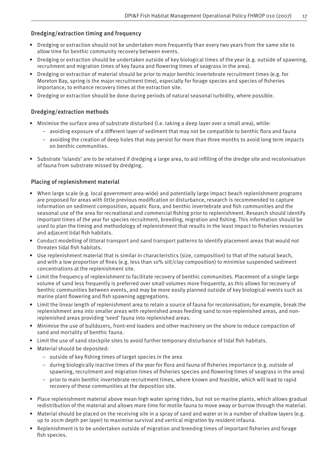### Dredging/extraction timing and frequency

- Dredging or extraction should not be undertaken more frequently than every two years from the same site to allow time for benthic community recovery between events.
- Dredging or extraction should be undertaken outside of key biological times of the year (e.g. outside of spawning, recruitment and migration times of key fauna and flowering times of seagrass in the area).
- Dredging or extraction of material should be prior to major benthic invertebrate recruitment times (e.g. for Moreton Bay, spring is the major recruitment time), especially for forage species and species of fisheries importance, to enhance recovery times at the extraction site.
- Dredging or extraction should be done during periods of natural seasonal turbidity, where possible.

### Dredging/extraction methods

- Minimise the surface area of substrate disturbed (i.e. taking a deep layer over a small area), while:
	- avoiding exposure of a different layer of sediment that may not be compatible to benthic flora and fauna
	- avoiding the creation of deep holes that may persist for more than three months to avoid long term impacts on benthic communities.
- Substrate 'islands' are to be retained if dredging a large area, to aid infilling of the dredge site and recolonisation of fauna from substrate missed by dredging.

### Placing of replenishment material

- When large scale (e.g. local government area-wide) and potentially large impact beach replenishment programs are proposed for areas with little previous modification or disturbance, research is recommended to capture information on sediment composition, aquatic flora, and benthic invertebrate and fish communities and the seasonal use of the area for recreational and commercial fishing prior to replenishment. Research should identify important times of the year for species recruitment, breeding, migration and fishing. This information should be used to plan the timing and methodology of replenishment that results in the least impact to fisheries resources and adjacent tidal fish habitats.
- Conduct modelling of littoral transport and sand transport patterns to identify placement areas that would not threaten tidal fish habitats.
- Use replenishment material that is similar in characteristics (size, composition) to that of the natural beach, and with a low proportion of fines (e.g. less than 10% silt/clay composition) to minimise suspended sediment concentrations at the replenishment site.
- Limit the frequency of replenishment to facilitate recovery of benthic communities. Placement of a single large volume of sand less frequently is preferred over small volumes more frequently, as this allows for recovery of benthic communities between events, and may be more easily planned outside of key biological events such as marine plant flowering and fish spawning aggregations.
- Limit the linear length of replenishment area to retain a source of fauna for recolonisation; for example, break the replenishment area into smaller areas with replenished areas feeding sand to non-replenished areas, and nonreplenished areas providing 'seed' fauna into replenished areas.
- Minimise the use of bulldozers, front-end loaders and other machinery on the shore to reduce compaction of sand and mortality of benthic fauna.
- Limit the use of sand stockpile sites to avoid further temporary disturbance of tidal fish habitats.
- Material should be deposited:
	- $-$  outside of key fishing times of target species in the area
	- $-$  during biologically inactive times of the year for flora and fauna of fisheries importance (e.g. outside of spawning, recruitment and migration times of fisheries species and flowering times of seagrass in the area)
	- prior to main benthic invertebrate recruitment times, where known and feasible, which will lead to rapid recovery of these communities at the deposition site.
- Place replenishment material above mean high water spring tides, but not on marine plants, which allows gradual redistribution of the material and allows more time for motile fauna to move away or burrow through the material.
- Material should be placed on the receiving site in a spray of sand and water or in a number of shallow layers (e.g. up to 20cm depth per layer) to maximise survival and vertical migration by resident infauna.
- Replenishment is to be undertaken outside of migration and breeding times of important fisheries and forage fish species.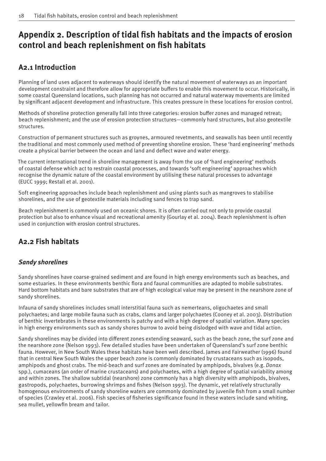# Appendix 2. Description of tidal fish habitats and the impacts of erosion **control and beach replenishment on fish habitats**

# **A2.1 Introduction**

Planning of land uses adjacent to waterways should identify the natural movement of waterways as an important development constraint and therefore allow for appropriate buffers to enable this movement to occur. Historically, in some coastal Queensland locations, such planning has not occurred and natural waterway movements are limited by significant adjacent development and infrastructure. This creates pressure in these locations for erosion control.

Methods of shoreline protection generally fall into three categories: erosion buffer zones and managed retreat; beach replenishment; and the use of erosion protection structures—commonly hard structures, but also geotextile structures.

Construction of permanent structures such as groynes, armoured revetments, and seawalls has been until recently the traditional and most commonly used method of preventing shoreline erosion. These 'hard engineering' methods create a physical barrier between the ocean and land and deflect wave and water energy.

The current international trend in shoreline management is away from the use of 'hard engineering' methods of coastal defense which act to restrain coastal processes, and towards 'soft engineering' approaches which recognise the dynamic nature of the coastal environment by utilising these natural processes to advantage (EUCC 1999; Restall et al. 2001).

Soft engineering approaches include beach replenishment and using plants such as mangroves to stabilise shorelines, and the use of geotextile materials including sand fences to trap sand.

Beach replenishment is commonly used on oceanic shores. It is often carried out not only to provide coastal protection but also to enhance visual and recreational amenity (Gourlay et al. 2004). Beach replenishment is often used in conjunction with erosion control structures.

# **A2.2 Fish habitats**

### *Sandy shorelines*

Sandy shorelines have coarse-grained sediment and are found in high energy environments such as beaches, and some estuaries. In these environments benthic flora and faunal communities are adapted to mobile substrates. Hard bottom habitats and bare substrates that are of high ecological value may be present in the nearshore zone of sandy shorelines.

Infauna of sandy shorelines includes small interstitial fauna such as nemerteans, oligochaetes and small polychaetes; and large mobile fauna such as crabs, clams and larger polychaetes (Cooney et al. 2003). Distribution of benthic invertebrates in these environments is patchy and with a high degree of spatial variation. Many species in high energy environments such as sandy shores burrow to avoid being dislodged with wave and tidal action.

Sandy shorelines may be divided into different zones extending seaward, such as the beach zone, the surf zone and the nearshore zone (Nelson 1993). Few detailed studies have been undertaken of Queensland's surf zone benthic fauna. However, in New South Wales these habitats have been well described. James and Fairweather (1996) found that in central New South Wales the upper beach zone is commonly dominated by crustaceans such as isopods, amphipods and ghost crabs. The mid-beach and surf zones are dominated by amphipods, bivalves (e.g. *Donax*  spp.), cumaceans (an order of marine crustaceans) and polychaetes, with a high degree of spatial variability among and within zones. The shallow subtidal (nearshore) zone commonly has a high diversity with amphipods, bivalves, gastropods, polychaetes, burrowing shrimps and fishes (Nelson 1993). The dynamic, yet relatively structurally homogenous environments of sandy shoreline waters are commonly dominated by juvenile fish from a small number of species (Crawley et al. 2006). Fish species of fisheries significance found in these waters include sand whiting, sea mullet, yellowfin bream and tailor.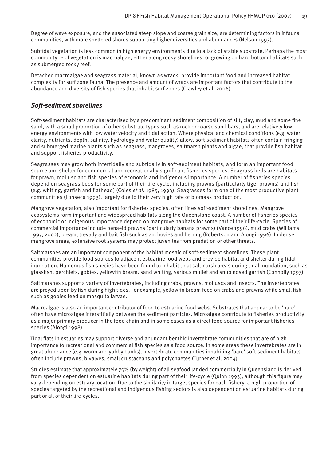Degree of wave exposure, and the associated steep slope and coarse grain size, are determining factors in infaunal communities, with more sheltered shores supporting higher diversities and abundances (Nelson 1993).

Subtidal vegetation is less common in high energy environments due to a lack of stable substrate. Perhaps the most common type of vegetation is macroalgae, either along rocky shorelines, or growing on hard bottom habitats such as submerged rocky reef.

Detached macroalgae and seagrass material, known as wrack, provide important food and increased habitat complexity for surf zone fauna. The presence and amount of wrack are important factors that contribute to the abundance and diversity of fish species that inhabit surf zones (Crawley et al. 2006).

### *Soft-sediment shorelines*

Soft-sediment habitats are characterised by a predominant sediment composition of silt, clay, mud and some fine sand, with a small proportion of other substrate types such as rock or coarse sand bars, and are relatively low energy environments with low water velocity and tidal action. Where physical and chemical conditions (e.g. water clarity, nutrients, depth, salinity, hydrology and water quality) allow, soft-sediment habitats often contain fringing and submerged marine plants such as seagrass, mangroves, saltmarsh plants and algae, that provide fish habitat and support fisheries productivity.

Seagrasses may grow both intertidally and subtidally in soft-sediment habitats, and form an important food source and shelter for commercial and recreationally significant fisheries species. Seagrass beds are habitats for prawn, mollusc and fish species of economic and Indigenous importance. A number of fisheries species depend on seagrass beds for some part of their life-cycle, including prawns (particularly tiger prawns) and fish (e.g. whiting, garfish and flathead) (Coles *et al.* 1985, 1993). Seagrasses form one of the most productive plant communities (Fonseca 1993), largely due to their very high rate of biomass production.

Mangrove vegetation, also important for fisheries species, often lines soft-sediment shorelines. Mangrove ecosystems form important and widespread habitats along the Queensland coast. A number of fisheries species of economic or Indigenous importance depend on mangrove habitats for some part of their life-cycle. Species of commercial importance include penaeid prawns (particularly banana prawns) (Vance 1996), mud crabs (Williams 1997, 2002), bream, trevally and bait fish such as anchovies and herring (Robertson and Alongi 1996). In dense mangrove areas, extensive root systems may protect juveniles from predation or other threats.

Saltmarshes are an important component of the habitat mosaic of soft-sediment shorelines. These plant communities provide food sources to adjacent estuarine food webs and provide habitat and shelter during tidal inundation. Numerous fish species have been found to inhabit tidal saltmarsh areas during tidal inundation, such as glassfish, perchlets, gobies, yellowfin bream, sand whiting, various mullet and snub nosed garfish (Connolly 1997).

Saltmarshes support a variety of invertebrates, including crabs, prawns, molluscs and insects. The invertebrates are preyed upon by fish during high tides. For example, yellowfin bream feed on crabs and prawns while small fish such as gobies feed on mosquito larvae.

Macroalgae is also an important contributor of food to estuarine food webs. Substrates that appear to be 'bare' often have microalgae interstitially between the sediment particles. Microalgae contribute to fisheries productivity as a major primary producer in the food chain and in some cases as a direct food source for important fisheries species (Alongi 1998).

Tidal flats in estuaries may support diverse and abundant benthic invertebrate communities that are of high importance to recreational and commercial fish species as a food source. In some areas these invertebrates are in great abundance (e.g. worm and yabby banks). Invertebrate communities inhabiting 'bare' soft-sediment habitats often include prawns, bivalves, small crustaceans and polychaetes (Turner et al. 2004).

Studies estimate that approximately 75% (by weight) of all seafood landed commercially in Queensland is derived from species dependent on estuarine habitats during part of their life-cycle (Quinn 1993), although this figure may vary depending on estuary location. Due to the similarity in target species for each fishery, a high proportion of species targeted by the recreational and Indigenous fishing sectors is also dependent on estuarine habitats during part or all of their life-cycles.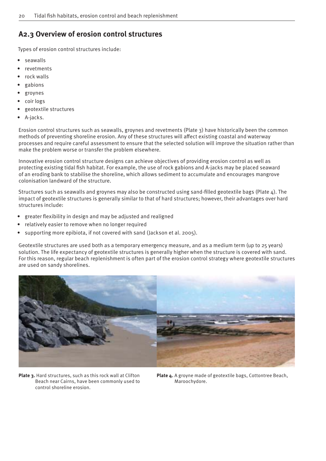# **A2.3 Overview of erosion control structures**

Types of erosion control structures include:

- seawalls
- revetments
- rock walls
- gabions
- groynes
- coir logs
- geotextile structures
- A-jacks.

Erosion control structures such as seawalls, groynes and revetments (Plate 3) have historically been the common methods of preventing shoreline erosion. Any of these structures will affect existing coastal and waterway processes and require careful assessment to ensure that the selected solution will improve the situation rather than make the problem worse or transfer the problem elsewhere.

Innovative erosion control structure designs can achieve objectives of providing erosion control as well as protecting existing tidal fish habitat. For example, the use of rock gabions and A-jacks may be placed seaward of an eroding bank to stabilise the shoreline, which allows sediment to accumulate and encourages mangrove colonisation landward of the structure.

Structures such as seawalls and grovnes may also be constructed using sand-filled geotextile bags (Plate  $\Delta$ ). The impact of geotextile structures is generally similar to that of hard structures; however, their advantages over hard structures include:

- greater flexibility in design and may be adjusted and realigned
- relatively easier to remove when no longer required
- supporting more epibiota, if not covered with sand (Jackson et al. 2005).

Geotextile structures are used both as a temporary emergency measure, and as a medium term (up to 25 years) solution. The life expectancy of geotextile structures is generally higher when the structure is covered with sand. For this reason, regular beach replenishment is often part of the erosion control strategy where geotextile structures are used on sandy shorelines.



Plate 3. Hard structures, such as this rock wall at Clifton Beach near Cairns, have been commonly used to control shoreline erosion.

**Plate 4.** A groyne made of geotextile bags, Cottontree Beach, Maroochydore.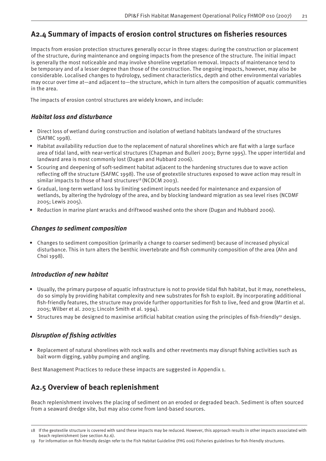# A2.4 Summary of impacts of erosion control structures on fisheries resources

Impacts from erosion protection structures generally occur in three stages: during the construction or placement of the structure, during maintenance and ongoing impacts from the presence of the structure. The initial impact is generally the most noticeable and may involve shoreline vegetation removal. Impacts of maintenance tend to be temporary and of a lesser degree than those of the construction. The ongoing impacts, however, may also be considerable. Localised changes to hydrology, sediment characteristics, depth and other environmental variables may occur over time at—and adjacent to—the structure, which in turn alters the composition of aquatic communities in the area.

The impacts of erosion control structures are widely known, and include:

### *Habitat loss and disturbance*

- Direct loss of wetland during construction and isolation of wetland habitats landward of the structures (SAFMC 1998).
- Habitat availability reduction due to the replacement of natural shorelines which are flat with a large surface area of tidal land, with near-vertical structures (Chapman and Bulleri 2003; Byrne 1995). The upper intertidal and landward area is most commonly lost (Dugan and Hubbard 2006).
- Scouring and deepening of soft-sediment habitat adjacent to the hardening structures due to wave action reflecting off the structure (SAFMC 1998). The use of geotextile structures exposed to wave action may result in similar impacts to those of hard structures<sup>18</sup> (NCDCM 2003).
- Gradual, long-term wetland loss by limiting sediment inputs needed for maintenance and expansion of wetlands, by altering the hydrology of the area, and by blocking landward migration as sea level rises (NCDMF 2005; Lewis 2005).
- Reduction in marine plant wracks and driftwood washed onto the shore (Dugan and Hubbard 2006).

### *Changes to sediment composition*

• Changes to sediment composition (primarily a change to coarser sediment) because of increased physical disturbance. This in turn alters the benthic invertebrate and fish community composition of the area (Ahn and Choi 1998).

### *Introduction of new habitat*

- Usually, the primary purpose of aquatic infrastructure is not to provide tidal fish habitat, but it may, nonetheless, do so simply by providing habitat complexity and new substrates for fish to exploit. By incorporating additional fish-friendly features, the structure may provide further opportunities for fish to live, feed and grow (Martin et al. 2005; Wilber et al. 2003; Lincoln Smith et al. 1994).
- Structures may be designed to maximise artificial habitat creation using the principles of fish-friendly<sup>19</sup> design.

### **Disruption of fishing activities**

Replacement of natural shorelines with rock walls and other revetments may disrupt fishing activities such as bait worm digging, yabby pumping and angling.

Best Management Practices to reduce these impacts are suggested in Appendix 1.

# **A2.5 Overview of beach replenishment**

Beach replenishment involves the placing of sediment on an eroded or degraded beach. Sediment is often sourced from a seaward dredge site, but may also come from land-based sources.

<sup>18</sup> If the geotextile structure is covered with sand these impacts may be reduced. However, this approach results in other impacts associated with beach replenishment (see section A2.6).

<sup>19</sup> For information on fish-friendly design refer to the Fish Habitat Guideline (FHG 006) Fisheries guidelines for fish-friendly structures.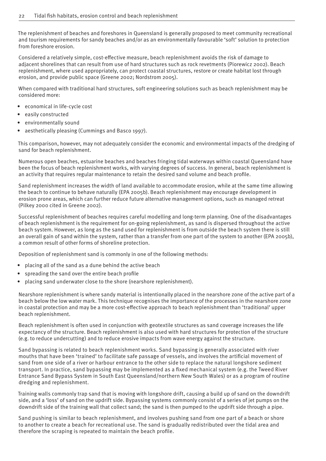The replenishment of beaches and foreshores in Queensland is generally proposed to meet community recreational and tourism requirements for sandy beaches and/or as an environmentally favourable 'soft' solution to protection from foreshore erosion.

Considered a relatively simple, cost-effective measure, beach replenishment avoids the risk of damage to adjacent shorelines that can result from use of hard structures such as rock revetments (Piorewicz 2002). Beach replenishment, where used appropriately, can protect coastal structures, restore or create habitat lost through erosion, and provide public space (Greene 2002; Nordstrom 2005).

When compared with traditional hard structures, soft engineering solutions such as beach replenishment may be considered more:

- economical in life-cycle cost
- easily constructed
- environmentally sound
- aesthetically pleasing (Cummings and Basco 1997).

This comparison, however, may not adequately consider the economic and environmental impacts of the dredging of sand for beach replenishment.

Numerous open beaches, estuarine beaches and beaches fringing tidal waterways within coastal Queensland have been the focus of beach replenishment works, with varying degrees of success. In general, beach replenishment is an activity that requires regular maintenance to retain the desired sand volume and beach profile.

Sand replenishment increases the width of land available to accommodate erosion, while at the same time allowing the beach to continue to behave naturally (EPA 2005b). Beach replenishment may encourage development in erosion prone areas, which can further reduce future alternative management options, such as managed retreat (Pilkey 2000 cited in Greene 2002).

Successful replenishment of beaches requires careful modelling and long-term planning. One of the disadvantages of beach replenishment is the requirement for on-going replenishment, as sand is dispersed throughout the active beach system. However, as long as the sand used for replenishment is from outside the beach system there is still an overall gain of sand within the system, rather than a transfer from one part of the system to another (EPA 2005b), a common result of other forms of shoreline protection.

Deposition of replenishment sand is commonly in one of the following methods:

- placing all of the sand as a dune behind the active beach
- spreading the sand over the entire beach profile
- placing sand underwater close to the shore (nearshore replenishment).

Nearshore replenishment is where sandy material is intentionally placed in the nearshore zone of the active part of a beach below the low water mark. This technique recognises the importance of the processes in the nearshore zone in coastal protection and may be a more cost-effective approach to beach replenishment than 'traditional' upper beach replenishment.

Beach replenishment is often used in conjunction with geotextile structures as sand coverage increases the life expectancy of the structure. Beach replenishment is also used with hard structures for protection of the structure (e.g. to reduce undercutting) and to reduce erosive impacts from wave energy against the structure.

Sand bypassing is related to beach replenishment works. Sand bypassing is generally associated with river mouths that have been 'trained' to facilitate safe passage of vessels, and involves the artificial movement of sand from one side of a river or harbour entrance to the other side to replace the natural longshore sediment transport. In practice, sand bypassing may be implemented as a fi xed mechanical system (e.g. the Tweed River Entrance Sand Bypass System in South East Queensland/northern New South Wales) or as a program of routine dredging and replenishment.

Training walls commonly trap sand that is moving with longshore drift, causing a build up of sand on the downdrift side, and a 'loss' of sand on the updrift side. Bypassing systems commonly consist of a series of jet pumps on the downdrift side of the training wall that collect sand; the sand is then pumped to the updrift side through a pipe.

Sand pushing is similar to beach replenishment, and involves pushing sand from one part of a beach or shore to another to create a beach for recreational use. The sand is gradually redistributed over the tidal area and therefore the scraping is repeated to maintain the beach profile.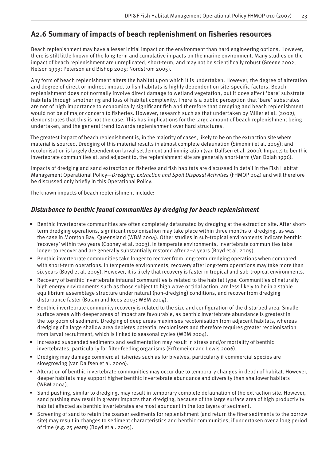# **A2.6 Summary of impacts of beach replenishment on fi sheries resources**

Beach replenishment may have a lesser initial impact on the environment than hard engineering options. However, there is still little known of the long-term and cumulative impacts on the marine environment. Many studies on the impact of beach replenishment are unreplicated, short-term, and may not be scientifically robust (Greene 2002; Nelson 1993; Peterson and Bishop 2005; Nordstrom 2005).

Any form of beach replenishment alters the habitat upon which it is undertaken. However, the degree of alteration and degree of direct or indirect impact to fish habitats is highly dependent on site-specific factors. Beach replenishment does not normally involve direct damage to wetland vegetation, but it does affect 'bare' substrate habitats through smothering and loss of habitat complexity. There is a public perception that 'bare' substrates are not of high importance to economically significant fish and therefore that dredging and beach replenishment would not be of major concern to fisheries. However, research such as that undertaken by Miller et al. (2002), demonstrates that this is not the case. This has implications for the large amount of beach replenishment being undertaken, and the general trend towards replenishment over hard structures.

The greatest impact of beach replenishment is, in the majority of cases, likely to be on the extraction site where material is sourced. Dredging of this material results in almost complete defaunation (Simonini et al. 2005); and recolonisation is largely dependent on larval settlement and immigration (van Dalfsen et al. 2000). Impacts to benthic invertebrate communities at, and adjacent to, the replenishment site are generally short-term (Van Dolah 1996).

Impacts of dredging and sand extraction on fisheries and fish habitats are discussed in detail in the Fish Habitat Management Operational Policy—*Dredging, Extraction and Spoil Disposal Activities* (FHMOP 004) and will therefore be discussed only briefly in this Operational Policy.

The known impacts of beach replenishment include:

### *Disturbance to benthic faunal communities by dredging for beach replenishment*

- Benthic invertebrate communities are often completely defaunated by dredging at the extraction site. After shortterm dredging operations, significant recolonisation may take place within three months of dredging, as was the case in Moreton Bay, Queensland (WBM 2004). Other studies in sub-tropical environments indicate benthic 'recovery' within two years (Cooney et al. 2003). In temperate environments, invertebrate communities take longer to recover and are generally substantially restored after  $2-4$  years (Boyd et al. 2005).
- Benthic invertebrate communities take longer to recover from long-term dredging operations when compared with short-term operations. In temperate environments, recovery after long-term operations may take more than six years (Boyd et al. 2005). However, it is likely that recovery is faster in tropical and sub-tropical environments.
- Recovery of benthic invertebrate infaunal communities is related to the habitat type. Communities of naturally high energy environments such as those subject to high wave or tidal action, are less likely to be in a stable equilibrium assemblage structure under natural (non-dredging) conditions, and recover from dredging disturbance faster (Bolam and Rees 2003; WBM 2004).
- Benthic invertebrate community recovery is related to the size and configuration of the disturbed area. Smaller surface areas with deeper areas of impact are favourable, as benthic invertebrate abundance is greatest in the top 30cm of sediment. Dredging of deep areas maximises recolonisation from adjacent habitats, whereas dredging of a large shallow area depletes potential recolonisers and therefore requires greater recolonisation from larval recruitment, which is linked to seasonal cycles (WBM 2004).
- Increased suspended sediments and sedimentation may result in stress and/or mortality of benthic invertebrates, particularly for filter-feeding organisms (Erftemeijer and Lewis 2006).
- Dredging may damage commercial fisheries such as for bivalves, particularly if commercial species are slowgrowing (van Dalfsen et al. 2000).
- Alteration of benthic invertebrate communities may occur due to temporary changes in depth of habitat. However, deeper habitats may support higher benthic invertebrate abundance and diversity than shallower habitats (WBM 2004).
- Sand pushing, similar to dredging, may result in temporary complete defaunation of the extraction site. However, sand pushing may result in greater impacts than dredging, because of the large surface area of high productivity habitat affected as benthic invertebrates are most abundant in the top layers of sediment.
- Screening of sand to retain the coarser sediments for replenishment (and return the finer sediments to the borrow site) may result in changes to sediment characteristics and benthic communities, if undertaken over a long period of time (e.g. 25 years) (Boyd et al. 2005).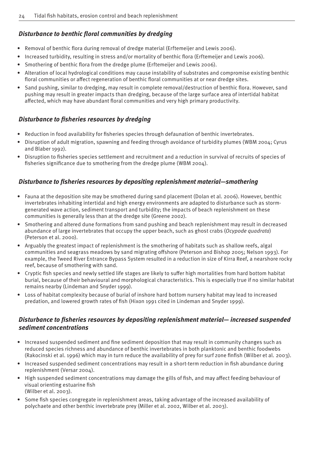### **Disturbance to benthic floral communities by dredging**

- Removal of benthic flora during removal of dredge material (Erftemeijer and Lewis 2006).
- Increased turbidity, resulting in stress and/or mortality of benthic flora (Erftemeijer and Lewis 2006).
- Smothering of benthic flora from the dredge plume (Erftemeijer and Lewis 2006).
- Alteration of local hydrological conditions may cause instability of substrates and compromise existing benthic floral communities or affect regeneration of benthic floral communities at or near dredge sites.
- Sand pushing, similar to dredging, may result in complete removal/destruction of benthic flora. However, sand pushing may result in greater impacts than dredging, because of the large surface area of intertidal habitat affected, which may have abundant floral communities and very high primary productivity.

### **Disturbance to fisheries resources by dredging**

- Reduction in food availability for fisheries species through defaunation of benthic invertebrates.
- Disruption of adult migration, spawning and feeding through avoidance of turbidity plumes (WBM 2004; Cyrus and Blaber 1992).
- Disruption to fisheries species settlement and recruitment and a reduction in survival of recruits of species of fisheries significance due to smothering from the dredge plume (WBM 2004).

### *Disturbance to fisheries resources by depositing replenishment material—smothering*

- Fauna at the deposition site may be smothered during sand placement (Dolan et al. 2006). However, benthic invertebrates inhabiting intertidal and high energy environments are adapted to disturbance such as stormgenerated wave action, sediment transport and turbidity; the impacts of beach replenishment on these communities is generally less than at the dredge site (Greene 2002).
- Smothering and altered dune formations from sand pushing and beach replenishment may result in decreased abundance of large invertebrates that occupy the upper beach, such as ghost crabs (*Ocypode quadrata*) (Peterson et al. 2000).
- Arguably the greatest impact of replenishment is the smothering of habitats such as shallow reefs, algal communities and seagrass meadows by sand migrating off shore (Peterson and Bishop 2005; Nelson 1993). For example, the Tweed River Entrance Bypass System resulted in a reduction in size of Kirra Reef, a nearshore rocky reef, because of smothering with sand.
- Cryptic fish species and newly settled life stages are likely to suffer high mortalities from hard bottom habitat burial, because of their behavioural and morphological characteristics. This is especially true if no similar habitat remains nearby (Lindeman and Snyder 1999).
- Loss of habitat complexity because of burial of inshore hard bottom nursery habitat may lead to increased predation, and lowered growth rates of fish (Hixon 1991 cited in Lindeman and Snyder 1999).

### *Disturbance to fisheries resources by depositing replenishment material— increased suspended sediment concentrations*

- Increased suspended sediment and fine sediment deposition that may result in community changes such as reduced species richness and abundance of benthic invertebrates in both planktonic and benthic foodwebs (Rakocinski et al. 1996) which may in turn reduce the availability of prey for surf zone finfish (Wilber et al. 2003).
- Increased suspended sediment concentrations may result in a short-term reduction in fish abundance during replenishment (Versar 2004).
- High suspended sediment concentrations may damage the gills of fish, and may affect feeding behaviour of visual orienting estuarine fish (Wilber et al. 2003).
- Some fish species congregate in replenishment areas, taking advantage of the increased availability of polychaete and other benthic invertebrate prey (Miller et al. 2002, Wilber et al. 2003).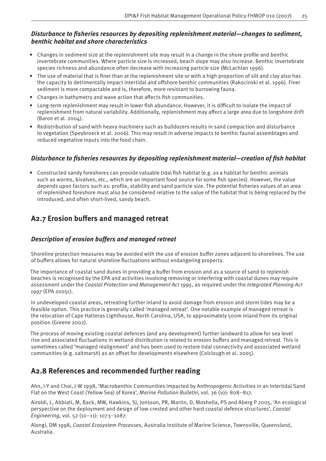### *Disturbance to fisheries resources by depositing replenishment material-changes to sediment, benthic habitat and shore characteristics*

- Changes in sediment size at the replenishment site may result in a change in the shore profile and benthic invertebrate communities. Where particle size is increased, beach slope may also increase. Benthic invertebrate species richness and abundance often decrease with increasing particle size (McLachlan 1996).
- The use of material that is finer than at the replenishment site or with a high proportion of silt and clay also has the capacity to detrimentally impact intertidal and off shore benthic communities (Rakocinski et al. 1996). Finer sediment is more compactable and is, therefore, more resistant to burrowing fauna.
- Changes in bathymetry and wave action that affects fish communities.
- Long-term replenishment may result in lower fish abundance. However, it is difficult to isolate the impact of replenishment from natural variability. Additionally, replenishment may affect a large area due to longshore drift (Baron et al. 2004).
- Redistribution of sand with heavy machinery such as bulldozers results in sand compaction and disturbance to vegetation (Speybroeck et al. 2006). This may result in adverse impacts to benthic faunal assemblages and reduced vegetative inputs into the food chain.

### *Disturbance to fisheries resources by depositing replenishment material—creation of fish habitat*

• Constructed sandy foreshores can provide valuable tidal fish habitat (e.g. as a habitat for benthic animals such as worms, bivalves, etc., which are an important food source for some fish species). However, the value depends upon factors such as: profile, stability and sand particle size. The potential fisheries values of an area of replenished foreshore must also be considered relative to the value of the habitat that is being replaced by the introduced, and often short-lived, sandy beach.

# A2.7 Erosion buffers and managed retreat

### **Description of erosion buffers and managed retreat**

Shoreline protection measures may be avoided with the use of erosion buffer zones adjacent to shorelines. The use of buffers allows for natural shoreline fluctuations without endangering property.

The importance of coastal sand dunes in providing a buffer from erosion and as a source of sand to replenish beaches is recognised by the EPA and activities involving removing or interfering with coastal dunes may require assessment under the *Coastal Protection and Management Act 1995*, as required under the *Integrated Planning Act 1997* (EPA 2005c).

In undeveloped coastal areas, retreating further inland to avoid damage from erosion and storm tides may be a feasible option. This practice is generally called 'managed retreat'. One notable example of managed retreat is the relocation of Cape Hatteras Lighthouse, North Carolina, USA, to approximately 500m inland from its original position (Greene 2002).

The process of moving existing coastal defences (and any development) further landward to allow for sea level rise and associated fluctuations in wetland distribution is related to erosion buffers and managed retreat. This is sometimes called 'managed realignment' and has been used to restore tidal connectivity and associated wetland communities (e.g. saltmarsh) as an offset for developments elsewhere (Colclough et al. 2005).

# **A2.8 References and recommended further reading**

Ahn, I-Y and Choi, J-W 1998, 'Macrobenthic Communities Impacted by Anthropogenic Activities in an Intertidal Sand Flat on the West Coast (Yellow Sea) of Korea', *Marine Pollution Bulletin,* vol. 36 (10): 808–817.

Airoldi, L, Abbiati, M, Back, MW, Hawkins, SJ, Jonsson, PR, Martin, D, Moshella, PS and Aberg P 2005, 'An ecological perspective on the deployment and design of low-crested and other hard coastal defence structures', *Coastal Engineering,* vol. 52 (10–11): 1073–1087.

Alongi, DM 1998, *Coastal Ecosystem Processes*, Australia Institute of Marine Science, Townsville, Queensland, Australia.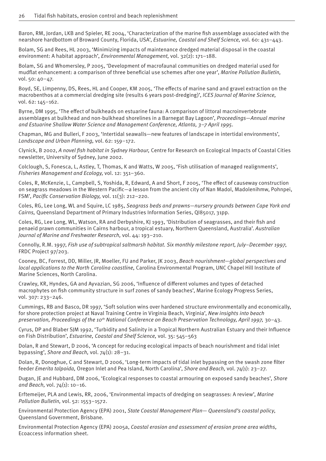Baron, RM, Jordan, LKB and Spieler, RE 2004, 'Characterization of the marine fish assemblage associated with the nearshore hardbottom of Broward County, Florida, USA', *Estuarine, Coastal and Shelf Science,* vol. 60: 431–443.

Bolam, SG and Rees, HL 2003, 'Minimizing impacts of maintenance dredged material disposal in the coastal environment: A habitat approach', *Environmental Management,* vol. 32(2): 171–188.

Bolam, SG and Whomersley, P 2005, 'Development of macrofaunal communities on dredged material used for mudflat enhancement: a comparison of three beneficial use schemes after one year', *Marine Pollution Bulletin*, vol. 50: 40–47.

Boyd, SE, Limpenny, DS, Rees, HL and Cooper, KM 2005, 'The effects of marine sand and gravel extraction on the macrobenthos at a commercial dredging site (results 6 years post-dredging)', *ICES Journal of Marine Science,*  vol. 62: 145–162.

Byrne, DM 1995, 'The effect of bulkheads on estuarine fauna: A comparison of littoral macroinvertebrate assemblages at bulkhead and non-bulkhead shorelines in a Barnegat Bay Lagoon', *Proceedings—Annual marine and Estuarine Shallow Water Science and Management Conference, Atlanta, 3–7 April 1995.*

Chapman, MG and Bulleri, F 2003, 'Intertidal seawalls—new features of landscape in intertidal environments', *Landscape and Urban Planning,* vol. 62: 159–172.

Clynick, B 2002, *A novel fi sh habitat in Sydney Harbour,* Centre for Research on Ecological Impacts of Coastal Cities newsletter, University of Sydney, June 2002.

Colclough, S, Fonesca, L, Astley, T, Thomas, K and Watts, W 2005, 'Fish utilisation of managed realignments', *Fisheries Management and Ecology,* vol. 12: 351–360.

Coles, R, McKenzie, L, Campbell, S, Yoshida, R, Edward, A and Short, F 2005, 'The effect of causeway construction on seagrass meadows in the Western Pacific—a lesson from the ancient city of Nan Madol, Madolenihmw, Pohnpei, FSM', *Pacific Conservation Biology, vol. 11(3): 212-220.* 

Coles, RG, Lee Long, WL and Squire, LC 1985, *Seagrass beds and prawns*—*nursery grounds between Cape York and Cairns,* Queensland Department of Primary Industries Information Series, QI85017, 31pp.

Coles, RG, Lee Long, WL, Watson, RA and Derbyshire, KJ 1993, 'Distribution of seagrasses, and their fish and penaeid prawn communities in Cairns harbour, a tropical estuary, Northern Queensland, Australia'. *Australian Journal of Marine and Freshwater Research,* vol. 44: 193–210.

Connolly, R.M. 1997, *Fish use of subtropical saltmarsh habitat. Six monthly milestone report, July–December 1997*, FRDC Project 97/203.

Cooney, BC, Forrest, DD, Miller, JR, Moeller, FU and Parker, JK 2003, *Beach nourishment—global perspectives and local applications to the North Carolina coastline,* Carolina Environmental Program, UNC Chapel Hill Institute of Marine Sciences, North Carolina.

Crawley, KR, Hyndes, GA and Ayvazian, SG 2006, 'Influence of different volumes and types of detached macrophytes on fish community structure in surf zones of sandy beaches', Marine Ecology Progress Series, vol. 307: 233–246.

Cummings, RB and Basco, DR 1997, 'Soft solution wins over hardened structure environmentally and economically, for shore protection project at Naval Training Centre in Virginia Beach, Virginia', *New insights into beach preservation, Proceedings of the 10th National Conference on Beach Preservation Technology, April 1997,* 30–43.

Cyrus, DP and Blaber SJM 1992, 'Turbidity and Salinity in a Tropical Northern Australian Estuary and their Influence on Fish Distribution', *Estuarine, Coastal and Shelf Science,* vol. 35: 545–563

Dolan, R and Stewart, D 2006, 'A concept for reducing ecological impacts of beach nourishment and tidal inlet bypassing', *Shore and Beach,* vol. 74(1): 28–31.

Dolan, R, Donoghue, C and Stewart, D 2006, 'Long-term impacts of tidal inlet bypassing on the swash zone filter feeder *Emerita talpoida,* Oregon Inlet and Pea Island, North Carolina', *Shore and Beach,* vol. 74(1): 23–27.

Dugan, JE and Hubbard, DM 2006, 'Ecological responses to coastal armouring on exposed sandy beaches', *Shore and Beach,* vol. 74(1): 10–16.

Erftemeijer, PLA and Lewis, RR, 2006, 'Environmental impacts of dredging on seagrasses: A review', *Marine Pollution Bulletin,* vol. 52: 1553–1572.

Environmental Protection Agency (EPA) 2001, *State Coastal Management Plan— Queensland's coastal policy*, Queensland Government, Brisbane.

Environmental Protection Agency (EPA) 2005a, *Coastal erosion and assessment of erosion prone area widths,*  Ecoaccess information sheet.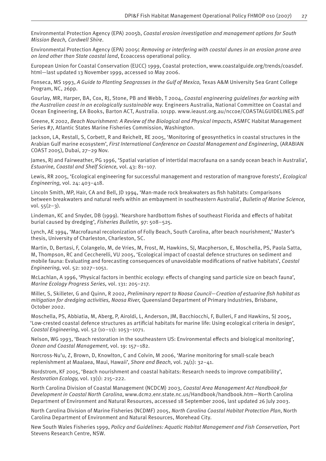Environmental Protection Agency (EPA) 2005b, *Coastal erosion investigation and management options for South Mission Beach, Cardwell Shire*.

Environmental Protection Agency (EPA) 2005c *Removing or interfering with coastal dunes in an erosion prone area on land other than State coastal land*, Ecoaccess operational policy.

European Union for Coastal Conservation (EUCC) 1999, Coastal protection, www.coastalguide.org/trends/coasdef. html—last updated 13 November 1999, accessed 10 May 2006.

Fonseca, MS 1993, *A Guide to Planting Seagrasses in the Gulf of Mexico,* Texas A&M University Sea Grant College Program, NC, 26pp.

Gourlay, MR, Harper, BA, Cox, RJ, Stone, PB and Webb, T 2004, *Coastal engineering guidelines for working with the Australian coast in an ecologically sustainable way.* Engineers Australia, National Committee on Coastal and Ocean Engineering, EA Books, Barton ACT, Australia. 101pp. www.ieaust.org.au/nccoe/COASTALGUIDELINES.pdf

Greene, K 2002, *Beach Nourishment: A Review of the Biological and Physical Impacts*, ASMFC Habitat Management Series #7, Atlantic States Marine Fisheries Commission, Washington.

Jackson, LA, Restall, S, Corbett, R and Reichelt, RE 2005, 'Monitoring of geosynthetics in coastal structures in the Arabian Gulf marine ecosystem', *First International Conference on Coastal Management and Engineering*, (ARABIAN COAST 2005), Dubai, 27–29 Nov.

James, RJ and Fairweather, PG 1996, 'Spatial variation of intertidal macrofauna on a sandy ocean beach in Australia', *Estuarine, Coastal and Shelf Science,* vol. 43: 81–107.

Lewis, RR 2005, 'Ecological engineering for successful management and restoration of mangrove forests', *Ecological Engineering,* vol. 24: 403–418.

Lincoln Smith, MP, Hair, CA and Bell, JD 1994, 'Man-made rock breakwaters as fish habitats: Comparisons between breakwaters and natural reefs within an embayment in southeastern Australia', *Bulletin of Marine Science,*  vol.  $55(2-3)$ .

Lindeman, KC and Snyder, DB (1999). 'Nearshore hardbottom fishes of southeast Florida and effects of habitat burial caused by dredging', *Fisheries Bulletin,* 97: 508–525.

Lynch, AE 1994, 'Macrofaunal recolonization of Folly Beach, South Carolina, after beach nourishment,' Master's thesis, University of Charleston, Charleston, SC.

Martin, D, Bertasi, F, Colangelo, M, de Vries, M, Frost, M, Hawkins, SJ, Macpherson, E, Moschella, PS, Paola Satta, M, Thompson, RC and Ceccherelli, VU 2005, 'Ecological impact of coastal defence structures on sediment and mobile fauna: Evaluating and forecasting consequences of unavoidable modifications of native habitats', *Coastal Engineering,* vol. 52: 1027–1051.

McLachlan, A 1996, 'Physical factors in benthic ecology: effects of changing sand particle size on beach fauna', *Marine Ecology Progress Series,* vol. 131: 205–217.

Miller, S, Skilleter, G and Quinn, R 2002, *Preliminary report to Noosa Council—Creation of estuarine fish habitat as mitigation for dredging activities, Noosa River,* Queensland Department of Primary Industries, Brisbane, October 2002.

Moschella, PS, Abbiatia, M, Aberg, P, Airoldi, L, Anderson, JM, Bacchiocchi, F, Bulleri, F and Hawkins, SJ 2005, 'Low-crested coastal defence structures as artificial habitats for marine life: Using ecological criteria in design', *Coastal Engineering,* vol. 52 (10–11): 1053–1071.

Nelson, WG 1993, 'Beach restoration in the southeastern US: Environmental effects and biological monitoring', *Ocean and Coastal Management,* vol. 19: 157–182.

Norcross-Nu'u, Z, Brown, D, Knowlton, C and Colvin, M 2006, 'Marine monitoring for small-scale beach replenishment at Maalaea, Maui, Hawaii', *Shore and Beach,* vol. 74(1): 32–41.

Nordstrom, KF 2005, 'Beach nourishment and coastal habitats: Research needs to improve compatibility', *Restoration Ecology,* vol. 13(1): 215–222.

North Carolina Division of Coastal Management (NCDCM) 2003, *Coastal Area Management Act Handbook for Development in Coastal North Carolina*, www.dcm2.enr.state.nc.us/Handbook/handbook.htm—North Carolina Department of Environment and Natural Resources, accessed 18 September 2006, last updated 26 July 2003.

North Carolina Division of Marine Fisheries (NCDMF) 2005, *North Carolina Coastal Habitat Protection Plan*, North Carolina Department of Environment and Natural Resources, Morehead City.

New South Wales Fisheries 1999, *Policy and Guidelines: Aquatic Habitat Management and Fish Conservation,* Port Stevens Research Centre, NSW.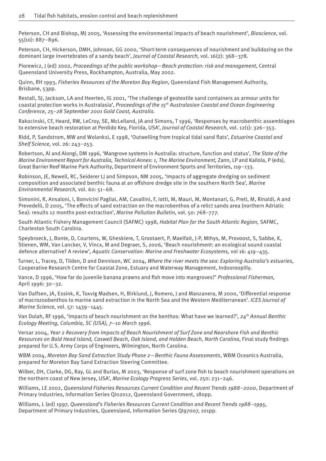Peterson, CH and Bishop, MJ 2005, 'Assessing the environmental impacts of beach nourishment', *Bioscience*, vol. 55(10): 887–896.

Peterson, CH, Hickerson, DMH, Johnson, GG 2000, 'Short-term consequences of nourishment and bulldozing on the dominant large invertebrates of a sandy beach', *Journal of Coastal Research,* vol. 16(2): 368–378.

Piorewicz, J (ed) 2002, *Proceedings of the public workshop—Beach protection: risk and management,* Central Queensland University Press, Rockhampton, Australia, May 2002.

Quinn, RH 1993, *Fisheries Resources of the Moreton Bay Region*, Queensland Fish Management Authority, Brisbane, 53pp.

Restall, SJ, Jackson, LA and Heerten, IG 2001, 'The challenge of geotextile sand containers as armour units for coastal protection works in Australasia', *Proceedings of the 15th Australasian Coastal and Ocean Engineering Conference, 25–28 September 2001 Gold Coast, Australia.*

Rakocinski, CF, Heard, RW, LeCroy, SE, McLelland, JA and Simons, T 1996, 'Responses by macrobenthic assemblages to extensive beach restoration at Perdido Key, Florida, USA', *Journal of Coastal Research,* vol. 12(1): 326–353.

Ridd, P, Sandstrom, MW and Wolanksi, E 1998, 'Outwelling from tropical tidal sand flats', *Estuarine Coastal and Shelf Science,* vol. 26: 243–253.

Robertson, AI and Alongi, DM 1996, 'Mangrove systems in Australia: structure, function and status', *The State of the Marine Environment Report for Australia, Technical Annex: 1, The Marine Environment, Zann, LP and Kailola, P (eds),* Great Barrier Reef Marine Park Authority, Department of Environment Sports and Territories, 119–133.

Robinson, JE, Newell, RC, Seiderer LJ and Simpson, NM 2005, 'Impacts of aggregate dredging on sediment composition and associated benthic fauna at an off shore dredge site in the southern North Sea', *Marine Environmental Research,* vol. 60: 51–68.

Simonini, R, Ansaloni, I, Bonvicini Pagliai, AM, Cavallini, F, Iotti, M, Mauri, M, Montanari, G, Preti, M, Rinaldi, A and Prevedelli, D 2005, 'The effects of sand extraction on the macrobenthos of a relict sands area (northern Adriatic Sea): results 12 months post-extraction', *Marine Pollution Bulletin,* vol. 50: 768–777.

South Atlantic Fishery Management Council (SAFMC) 1998, *Habitat Plan for the South Atlantic Region,* SAFMC, Charleston South Carolina.

Speybroeck, J, Bonte, D, Courtens, W, Gheskiere, T, Grootaert, P, Maelfait, J-P, Mthys, M, Provoost, S, Sabbe, K, Stienen, WM, Van Lancker, V, Vincx, M and Degraer, S, 2006, 'Beach nourishment: an ecological sound coastal defence alternative? A review', *Aquatic Conservation: Marine and Freshwater Ecosystems,* vol 16: 419–435.

Turner, L, Tracey, D, Tilden, D and Dennison, WC 2004, *Where the river meets the sea: Exploring Australia's estuaries,*  Cooperative Research Centre for Coastal Zone, Estuary and Waterway Management, Indooroopilly.

Vance, D 1996, 'How far do juvenile banana prawns and fish move into mangroves?' *Professional Fisherman*, April 1996: 30–32.

Van Dalfsen, JA, Essink, K, Toxvig Madsen, H, Birklund, J, Romero, J and Manzanera, M 2000, 'Differential response of macrozoobenthos to marine sand extraction in the North Sea and the Western Mediterranean'. *ICES Journal of Marine Science,* vol. 57: 1439–1445.

Van Dolah, RF 1996, 'Impacts of beach nourishment on the benthos: What have we learned?', *24th Annual Benthic Ecology Meeting, Columbia, SC (USA), 7–10 March 1996.*

Versar 2004, *Year 2 Recovery from Impacts of Beach Nourishment of Surf Zone and Nearshore Fish and Benthic Resources on Bald Head Island, Caswell Beach, Oak Island, and Holden Beach, North Carolina, Final study findings* prepared for U.S. Army Corps of Engineers, Wilmington, North Carolina.

WBM 2004, *Moreton Bay Sand Extraction Study Phase 2—Benthic Fauna Assessments*, WBM Oceanics Australia, prepared for Moreton Bay Sand Extraction Steering Committee.

Wilber, DH, Clarke, DG, Ray, GL and Burlas, M 2003, 'Response of surf zone fish to beach nourishment operations on the northern coast of New Jersey, USA', *Marine Ecology Progress Series,* vol. 250: 231–246.

Williams, LE 2002, *Queensland Fisheries Resources Current Condition and Recent Trends 1988–2000*, Department of Primary Industries, Information Series QI02012, Queensland Government, 180pp.

Williams, L (ed) 1997, *Queensland's Fisheries Resources Current Condition and Recent Trends 1988*–*1995,*  Department of Primary Industries, Queensland, Information Series QI97007, 101pp.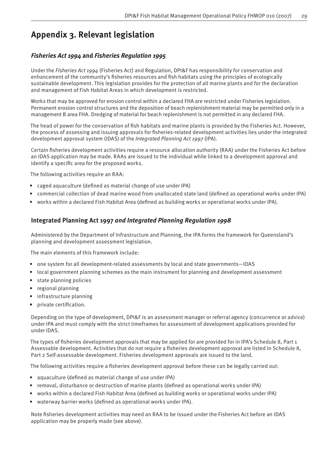# **Appendix 3. Relevant legislation**

### *Fisheries Act 1994* **and** *Fisheries Regulation 1995*

Under the *Fisheries Act 1994* (Fisheries Act) and Regulation, DPI&F has responsibility for conservation and enhancement of the community's fisheries resources and fish habitats using the principles of ecologically sustainable development. This legislation provides for the protection of all marine plants and for the declaration and management of Fish Habitat Areas in which development is restricted.

Works that may be approved for erosion control within a declared FHA are restricted under Fisheries legislation. Permanent erosion control structures and the deposition of beach replenishment material may be permitted only in a management B area FHA. Dredging of material for beach replenishment is not permitted in any declared FHA.

The head of power for the conservation of fish habitats and marine plants is provided by the Fisheries Act. However, the process of assessing and issuing approvals for fisheries-related development activities lies under the integrated development approval system (IDAS) of the *Integrated Planning Act 1997* (IPA).

Certain fisheries development activities require a resource allocation authority (RAA) under the Fisheries Act before an IDAS application may be made. RAAs are issued to the individual while linked to a development approval and identify a specific area for the proposed works.

The following activities require an RAA:

- caged aquaculture (defined as material change of use under IPA)
- commercial collection of dead marine wood from unallocated state land (defined as operational works under IPA)
- works within a declared Fish Habitat Area (defined as building works or operational works under IPA).

### **Integrated Planning Act 1997** *and Integrated Planning Regulation 1998*

Administered by the Department of Infrastructure and Planning, the IPA forms the framework for Queensland's planning and development assessment legislation.

The main elements of this framework include:

- one system for all development-related assessments by local and state governments—IDAS
- local government planning schemes as the main instrument for planning and development assessment
- state planning policies
- regional planning
- infrastructure planning
- private certification.

Depending on the type of development, DPI&F is an assessment manager or referral agency (concurrence or advice) under IPA and must comply with the strict timeframes for assessment of development applications provided for under IDAS.

The types of fisheries development approvals that may be applied for are provided for in IPA's Schedule 8, Part 1 Assessable development. Activities that do not require a fisheries development approval are listed in Schedule 8, Part 2 Self-assessable development. Fisheries development approvals are issued to the land.

The following activities require a fisheries development approval before these can be legally carried out:

- aquaculture (defined as material change of use under IPA)
- removal, disturbance or destruction of marine plants (defined as operational works under IPA)
- works within a declared Fish Habitat Area (defined as building works or operational works under IPA)
- waterway barrier works (defined as operational works under IPA).

Note fisheries development activities may need an RAA to be issued under the Fisheries Act before an IDAS application may be properly made (see above).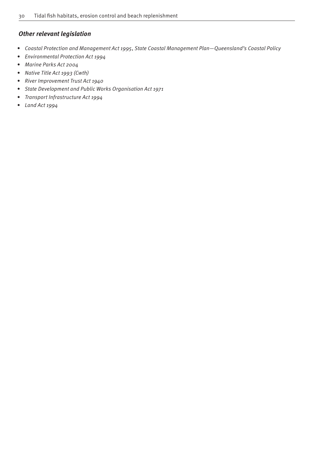### *Other relevant legislation*

- *Coastal Protection and Management Act 1995*, *State Coastal Management Plan—Queensland's Coastal Policy*
- *Environmental Protection Act 1994*
- *Marine Parks Act 2004*
- *Native Title Act 1993 (Cwth)*
- *River Improvement Trust Act 1940*
- *State Development and Public Works Organisation Act 1971*
- *Transport Infrastructure Act 1994*
- *Land Act 1994*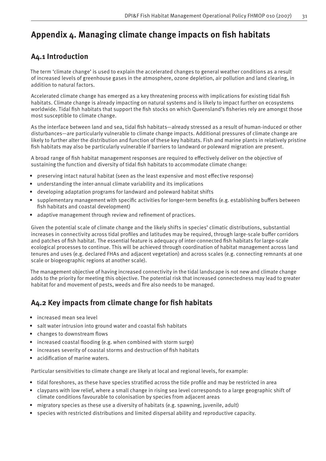# Appendix 4. Managing climate change impacts on fish habitats

# **A4.1 Introduction**

The term 'climate change' is used to explain the accelerated changes to general weather conditions as a result of increased levels of greenhouse gases in the atmosphere, ozone depletion, air pollution and land clearing, in addition to natural factors.

Accelerated climate change has emerged as a key threatening process with implications for existing tidal fish habitats. Climate change is already impacting on natural systems and is likely to impact further on ecosystems worldwide. Tidal fish habitats that support the fish stocks on which Queensland's fisheries rely are amongst those most susceptible to climate change.

As the interface between land and sea, tidal fish habitats—already stressed as a result of human-induced or other disturbances—are particularly vulnerable to climate change impacts. Additional pressures of climate change are likely to further alter the distribution and function of these key habitats. Fish and marine plants in relatively pristine fish habitats may also be particularly vulnerable if barriers to landward or poleward migration are present.

A broad range of fish habitat management responses are required to effectively deliver on the objective of sustaining the function and diversity of tidal fish habitats to accommodate climate change:

- preserving intact natural habitat (seen as the least expensive and most effective response)
- understanding the inter-annual climate variability and its implications
- developing adaptation programs for landward and poleward habitat shifts
- supplementary management with specific activities for longer-term benefits (e.g. establishing buffers between fish habitats and coastal development)
- adaptive management through review and refinement of practices.

Given the potential scale of climate change and the likely shifts in species' climatic distributions, substantial increases in connectivity across tidal profiles and latitudes may be required, through large-scale buffer corridors and patches of fish habitat. The essential feature is adequacy of inter-connected fish habitats for large-scale ecological processes to continue. This will be achieved through coordination of habitat management across land tenures and uses (e.g. declared FHAs and adjacent vegetation) and across scales (e.g. connecting remnants at one scale or biogeographic regions at another scale).

The management objective of having increased connectivity in the tidal landscape is not new and climate change adds to the priority for meeting this objective. The potential risk that increased connectedness may lead to greater habitat for and movement of pests, weeds and fire also needs to be managed.

# A4.2 Key impacts from climate change for fish habitats

- increased mean sea level
- salt water intrusion into ground water and coastal fish habitats
- changes to downstream flows
- increased coastal flooding (e.g. when combined with storm surge)
- increases severity of coastal storms and destruction of fish habitats
- acidification of marine waters.

Particular sensitivities to climate change are likely at local and regional levels, for example:

- tidal foreshores, as these have species stratified across the tide profile and may be restricted in area
- claypans with low relief, where a small change in rising sea level corresponds to a large geographic shift of climate conditions favourable to colonisation by species from adjacent areas
- migratory species as these use a diversity of habitats (e.g. spawning, juvenile, adult)
- species with restricted distributions and limited dispersal ability and reproductive capacity.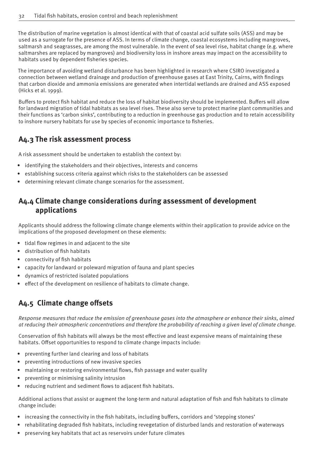The distribution of marine vegetation is almost identical with that of coastal acid sulfate soils (ASS) and may be used as a surrogate for the presence of ASS. In terms of climate change, coastal ecosystems including mangroves, saltmarsh and seagrasses, are among the most vulnerable. In the event of sea level rise, habitat change (e.g. where saltmarshes are replaced by mangroves) and biodiversity loss in inshore areas may impact on the accessibility to habitats used by dependent fisheries species.

The importance of avoiding wetland disturbance has been highlighted in research where CSIRO investigated a connection between wetland drainage and production of greenhouse gases at East Trinity, Cairns, with findings that carbon dioxide and ammonia emissions are generated when intertidal wetlands are drained and ASS exposed (Hicks et al. 1999).

Buffers to protect fish habitat and reduce the loss of habitat biodiversity should be implemented. Buffers will allow for landward migration of tidal habitats as sea level rises. These also serve to protect marine plant communities and their functions as 'carbon sinks', contributing to a reduction in greenhouse gas production and to retain accessibility to inshore nursery habitats for use by species of economic importance to fisheries.

# **A4.3 The risk assessment process**

A risk assessment should be undertaken to establish the context by:

- identifying the stakeholders and their objectives, interests and concerns
- establishing success criteria against which risks to the stakeholders can be assessed
- determining relevant climate change scenarios for the assessment.

# **A4.4 Climate change considerations during assessment of development applications**

Applicants should address the following climate change elements within their application to provide advice on the implications of the proposed development on these elements:

- tidal flow regimes in and adjacent to the site
- distribution of fish habitats
- connectivity of fish habitats
- capacity for landward or poleward migration of fauna and plant species
- dynamics of restricted isolated populations
- effect of the development on resilience of habitats to climate change.

# A4.5 Climate change offsets

*Response measures that reduce the emission of greenhouse gases into the atmosphere or enhance their sinks, aimed at reducing their atmospheric concentrations and therefore the probability of reaching a given level of climate change.*

Conservation of fish habitats will always be the most effective and least expensive means of maintaining these habitats. Offset opportunities to respond to climate change impacts include:

- preventing further land clearing and loss of habitats
- preventing introductions of new invasive species
- maintaining or restoring environmental flows, fish passage and water quality
- preventing or minimising salinity intrusion
- reducing nutrient and sediment flows to adjacent fish habitats.

Additional actions that assist or augment the long-term and natural adaptation of fish and fish habitats to climate change include:

- increasing the connectivity in the fish habitats, including buffers, corridors and 'stepping stones'
- rehabilitating degraded fish habitats, including revegetation of disturbed lands and restoration of waterways
- preserving key habitats that act as reservoirs under future climates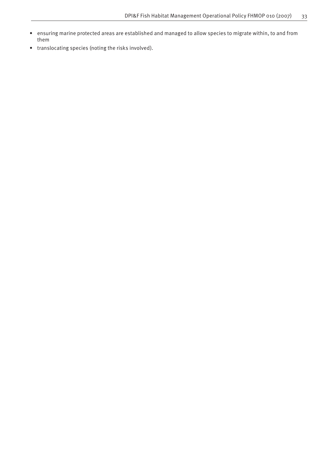- ensuring marine protected areas are established and managed to allow species to migrate within, to and from them
- translocating species (noting the risks involved).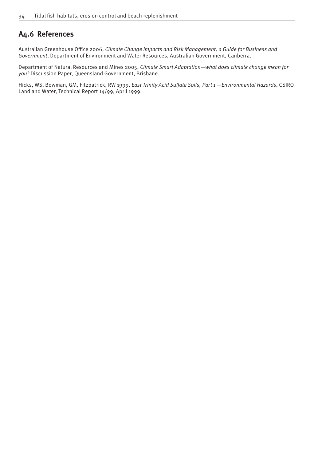# **A4.6 References**

Australian Greenhouse Office 2006, Climate Change Impacts and Risk Management, a Guide for Business and *Government*, Department of Environment and Water Resources, Australian Government, Canberra.

Department of Natural Resources and Mines 2005, *Climate Smart Adaptation—what does climate change mean for you?* Discussion Paper, Queensland Government, Brisbane.

Hicks, WS, Bowman, GM, Fitzpatrick, RW 1999, *East Trinity Acid Sulfate Soils, Part 1 —Environmental Hazards*, CSIRO Land and Water, Technical Report 14/99, April 1999.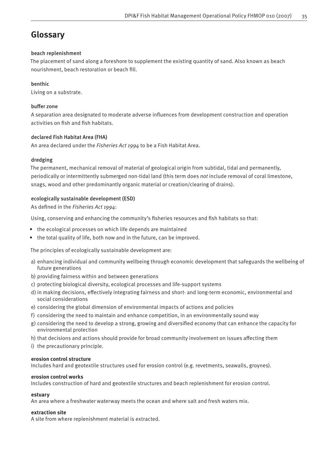# **Glossary**

### beach replenishment

The placement of sand along a foreshore to supplement the existing quantity of sand. Also known as beach nourishment, beach restoration or beach fill.

### benthic

Living on a substrate.

### buffer zone

A separation area designated to moderate adverse influences from development construction and operation activities on fish and fish habitats.

### declared Fish Habitat Area (FHA)

An area declared under the *Fisheries Act 1994* to be a Fish Habitat Area.

### dredging

The permanent, mechanical removal of material of geological origin from subtidal, tidal and permanently, periodically or intermittently submerged non-tidal land (this term does *not* include removal of coral limestone, snags, wood and other predominantly organic material or creation/clearing of drains).

### ecologically sustainable development (ESD)

As defined in the *Fisheries Act 1994*:

Using, conserving and enhancing the community's fisheries resources and fish habitats so that:

- the ecological processes on which life depends are maintained
- the total quality of life, both now and in the future, can be improved.

The principles of ecologically sustainable development are:

- a) enhancing individual and community wellbeing through economic development that safeguards the wellbeing of future generations
- b) providing fairness within and between generations
- c) protecting biological diversity, ecological processes and life-support systems
- d) in making decisions, effectively integrating fairness and short- and long-term economic, environmental and social considerations
- e) considering the global dimension of environmental impacts of actions and policies
- f) considering the need to maintain and enhance competition, in an environmentally sound way
- g) considering the need to develop a strong, growing and diversified economy that can enhance the capacity for environmental protection
- h) that decisions and actions should provide for broad community involvement on issues affecting them
- i) the precautionary principle.

### **erosion control structure**

Includes hard and geotextile structures used for erosion control (e.g. revetments, seawalls, groynes).

### **erosion control works**

Includes construction of hard and geotextile structures and beach replenishment for erosion control.

### **estuary**

An area where a freshwater waterway meets the ocean and where salt and fresh waters mix.

### **extraction site**

A site from where replenishment material is extracted.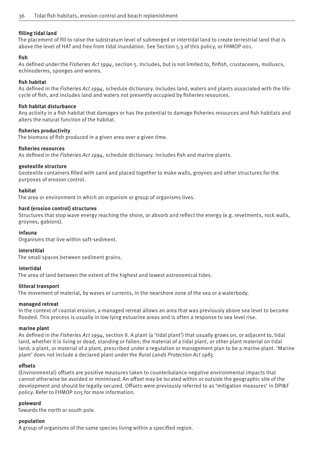#### **fi lling tidal land**

The placement of fill to raise the substratum level of submerged or intertidal land to create terrestrial land that is above the level of HAT and free from tidal inundation. See Section 5.3 of this policy, or FHMOP 001.

#### **fi sh**

As defined under the *Fisheries Act 1994*, section 5. Includes, but is not limited to, finfish, crustaceans, molluscs, echinoderms, sponges and worms.

#### **fi sh habitat**

As defined in the *Fisheries Act 1994*, schedule dictionary. Includes land, waters and plants associated with the lifecycle of fish, and includes land and waters not presently occupied by fisheries resources.

#### **fi sh habitat disturbance**

Any activity in a fish habitat that damages or has the potential to damage fisheries resources and fish habitats and alters the natural function of the habitat.

#### **fi sheries productivity**

The biomass of fish produced in a given area over a given time.

#### **fi sheries resources**

As defined in the *Fisheries Act 1994*, schedule dictionary. Includes fish and marine plants.

#### **geotextile structure**

Geotextile containers filled with sand and placed together to make walls, groynes and other structures for the purposes of erosion control.

#### **habitat**

The area or environment in which an organism or group of organisms lives.

#### **hard (erosion control) structures**

Structures that stop wave energy reaching the shore, or absorb and reflect the energy (e.g. revetments, rock walls, groynes, gabions).

#### **infauna**

Organisms that live within soft-sediment.

### **interstitial**

The small spaces between sediment grains.

#### **intertidal**

The area of land between the extent of the highest and lowest astronomical tides.

#### **littoral transport**

The movement of material, by waves or currents, in the nearshore zone of the sea or a waterbody.

#### **managed retreat**

In the context of coastal erosion, a managed retreat allows an area that was previously above sea level to become flooded. This process is usually in low lying estuarine areas and is often a response to sea level rise.

#### **marine plant**

As defined in the *Fisheries Act 1994*, section 8. A plant (a 'tidal plant') that usually grows on, or adjacent to, tidal land, whether it is living or dead, standing or fallen; the material of a tidal plant, or other plant material on tidal land; a plant, or material of a plant, prescribed under a regulation or management plan to be a marine plant. 'Marine plant' does not include a declared plant under the *Rural Lands Protection Act 1985.* 

#### **off sets**

(Environmental) off sets are positive measures taken to counterbalance negative environmental impacts that cannot otherwise be avoided or minimised. An offset may be located within or outside the geographic site of the development and should be legally secured. Offsets were previously referred to as 'mitigation measures' in DPI&F policy. Refer to FHMOP 005 for more information.

#### **poleward**

Towards the north or south pole.

### **population**

A group of organisms of the same species living within a specified region.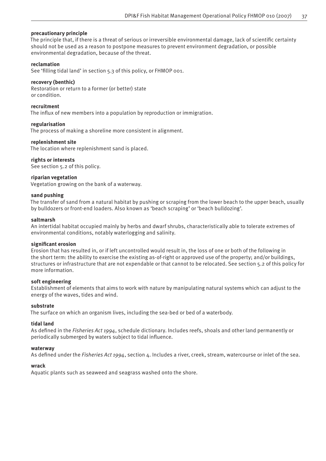#### **precautionary principle**

The principle that, if there is a threat of serious or irreversible environmental damage, lack of scientific certainty should not be used as a reason to postpone measures to prevent environment degradation, or possible environmental degradation, because of the threat.

#### **reclamation**

See 'filling tidal land' in section 5.3 of this policy, or FHMOP 001.

#### **recovery (benthic)**

Restoration or return to a former (or better) state or condition.

#### **recruitment**

The influx of new members into a population by reproduction or immigration.

#### **regularisation**

The process of making a shoreline more consistent in alignment.

#### **replenishment site**

The location where replenishment sand is placed.

#### **rights or interests**

See section 5.2 of this policy.

#### **riparian vegetation**

Vegetation growing on the bank of a waterway.

#### **sand pushing**

The transfer of sand from a natural habitat by pushing or scraping from the lower beach to the upper beach, usually by bulldozers or front-end loaders. Also known as 'beach scraping' or 'beach bulldozing'.

#### **saltmarsh**

An intertidal habitat occupied mainly by herbs and dwarf shrubs, characteristically able to tolerate extremes of environmental conditions, notably waterlogging and salinity.

#### **signifi cant erosion**

Erosion that has resulted in, or if left uncontrolled would result in, the loss of one or both of the following in the short term: the ability to exercise the existing as-of-right or approved use of the property; and/or buildings, structures or infrastructure that are not expendable or that cannot to be relocated. See section 5.2 of this policy for more information.

#### **soft engineering**

Establishment of elements that aims to work with nature by manipulating natural systems which can adjust to the energy of the waves, tides and wind.

#### **substrate**

The surface on which an organism lives, including the sea-bed or bed of a waterbody.

#### **tidal land**

As defined in the *Fisheries Act 1994*, schedule dictionary. Includes reefs, shoals and other land permanently or periodically submerged by waters subject to tidal influence.

#### **waterway**

As defined under the *Fisheries Act 1994*, section 4. Includes a river, creek, stream, watercourse or inlet of the sea.

#### **wrack**

Aquatic plants such as seaweed and seagrass washed onto the shore.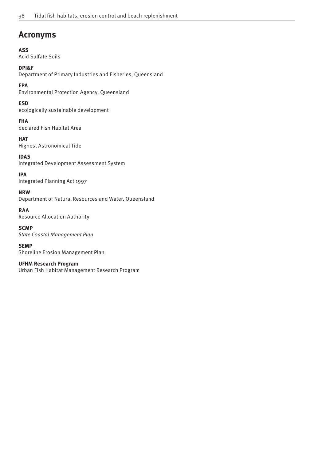# **Acronyms**

**ASS** Acid Sulfate Soils

**DPI&F**

Department of Primary Industries and Fisheries, Queensland

**EPA** Environmental Protection Agency, Queensland

**ESD** ecologically sustainable development

**FHA** declared Fish Habitat Area

**HAT** Highest Astronomical Tide

**IDAS** Integrated Development Assessment System

**IPA** Integrated Planning Act 1997

**NRW** Department of Natural Resources and Water, Queensland

**RAA** Resource Allocation Authority

**SCMP** *State Coastal Management Plan*

**SEMP** Shoreline Erosion Management Plan

**UFHM Research Program** Urban Fish Habitat Management Research Program